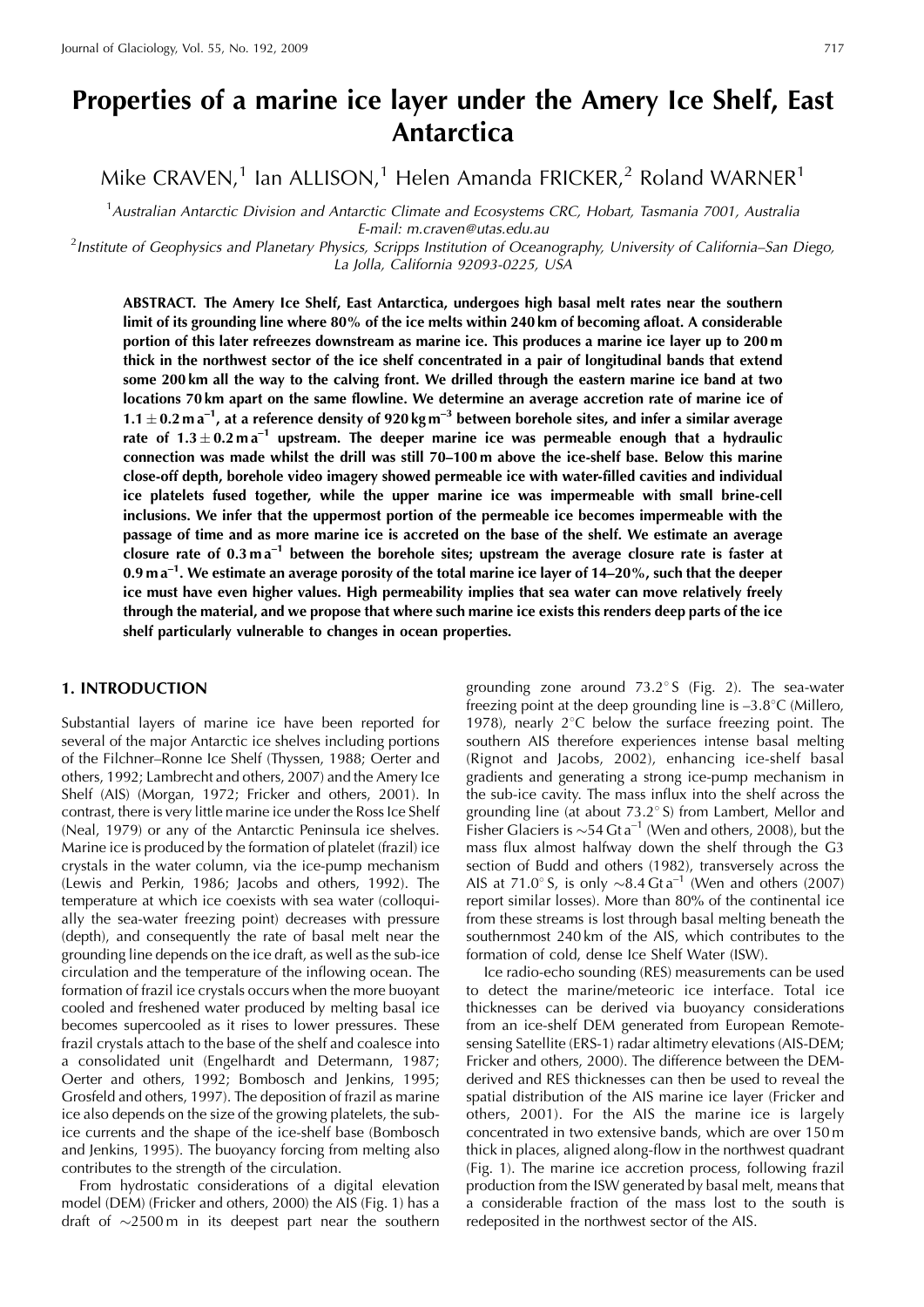# **Properties of a marine ice layer under the Amery Ice Shelf, East Antarctica**

Mike CRAVEN,<sup>1</sup> Ian ALLISON,<sup>1</sup> Helen Amanda FRICKER,<sup>2</sup> Roland WARNER<sup>1</sup>

<sup>1</sup> Australian Antarctic Division and Antarctic Climate and Ecosystems CRC, Hobart, Tasmania 7001, Australia

E-mail: m.craven@utas.edu.au<br>Institute of Geophysics and Planetary Physics, Scripps Institution of Oceanography, University of California–San Diego, La Jolla, California 92093-0225, USA

**ABSTRACT. The Amery Ice Shelf, East Antarctica, undergoes high basal melt rates near the southern limit of its grounding line where 80% of the ice melts within 240 km of becoming afloat. A considerable portion of this later refreezes downstream as marine ice. This produces a marine ice layer up to 200 m thick in the northwest sector of the ice shelf concentrated in a pair of longitudinal bands that extend some 200 km all the way to the calving front. We drilled through the eastern marine ice band at two locations 70 km apart on the same flowline. We determine an average accretion rate of marine ice of**  $1.1 \pm 0.2$  m a<sup>-1</sup>, at a reference density of 920 kg m<sup>-3</sup> between borehole sites, and infer a similar average rate of  $1.3 \pm 0.2$  m a<sup>-1</sup> upstream. The deeper marine ice was permeable enough that a hydraulic **connection was made whilst the drill was still 70–100 m above the ice-shelf base. Below this marine close-off depth, borehole video imagery showed permeable ice with water-filled cavities and individual ice platelets fused together, while the upper marine ice was impermeable with small brine-cell inclusions. We infer that the uppermost portion of the permeable ice becomes impermeable with the passage of time and as more marine ice is accreted on the base of the shelf. We estimate an average closure rate of 0.3 m a–1 between the borehole sites; upstream the average closure rate is faster at 0.9 m a–1. We estimate an average porosity of the total marine ice layer of 14–20%, such that the deeper ice must have even higher values. High permeability implies that sea water can move relatively freely through the material, and we propose that where such marine ice exists this renders deep parts of the ice shelf particularly vulnerable to changes in ocean properties.**

# **1. INTRODUCTION**

Substantial layers of marine ice have been reported for several of the major Antarctic ice shelves including portions of the Filchner–Ronne Ice Shelf (Thyssen, 1988; Oerter and others, 1992; Lambrecht and others, 2007) and the Amery Ice Shelf (AIS) (Morgan, 1972; Fricker and others, 2001). In contrast, there is very little marine ice under the Ross Ice Shelf (Neal, 1979) or any of the Antarctic Peninsula ice shelves. Marine ice is produced by the formation of platelet (frazil) ice crystals in the water column, via the ice-pump mechanism (Lewis and Perkin, 1986; Jacobs and others, 1992). The temperature at which ice coexists with sea water (colloquially the sea-water freezing point) decreases with pressure (depth), and consequently the rate of basal melt near the grounding line depends on the ice draft, as well as the sub-ice circulation and the temperature of the inflowing ocean. The formation of frazil ice crystals occurs when the more buoyant cooled and freshened water produced by melting basal ice becomes supercooled as it rises to lower pressures. These frazil crystals attach to the base of the shelf and coalesce into a consolidated unit (Engelhardt and Determann, 1987; Oerter and others, 1992; Bombosch and Jenkins, 1995; Grosfeld and others, 1997). The deposition of frazil as marine ice also depends on the size of the growing platelets, the subice currents and the shape of the ice-shelf base (Bombosch and Jenkins, 1995). The buoyancy forcing from melting also contributes to the strength of the circulation.

From hydrostatic considerations of a digital elevation model (DEM) (Fricker and others, 2000) the AIS (Fig. 1) has a draft of  $\sim$ 2500 m in its deepest part near the southern

grounding zone around  $73.2^{\circ}$  S (Fig. 2). The sea-water freezing point at the deep grounding line is  $-3.8^{\circ}$ C (Millero, 1978), nearly  $2^{\circ}$ C below the surface freezing point. The southern AIS therefore experiences intense basal melting (Rignot and Jacobs, 2002), enhancing ice-shelf basal gradients and generating a strong ice-pump mechanism in the sub-ice cavity. The mass influx into the shelf across the grounding line (at about  $73.2^{\circ}$  S) from Lambert, Mellor and Fisher Glaciers is  $\sim$  54 Gt a<sup>-1</sup> (Wen and others, 2008), but the mass flux almost halfway down the shelf through the G3 section of Budd and others (1982), transversely across the AIS at 71.0° S, is only  $\sim$ 8.4 Gt a<sup>-1</sup> (Wen and others (2007) report similar losses). More than 80% of the continental ice from these streams is lost through basal melting beneath the southernmost 240 km of the AIS, which contributes to the formation of cold, dense Ice Shelf Water (ISW).

Ice radio-echo sounding (RES) measurements can be used to detect the marine/meteoric ice interface. Total ice thicknesses can be derived via buoyancy considerations from an ice-shelf DEM generated from European Remotesensing Satellite (ERS-1) radar altimetry elevations (AIS-DEM; Fricker and others, 2000). The difference between the DEMderived and RES thicknesses can then be used to reveal the spatial distribution of the AIS marine ice layer (Fricker and others, 2001). For the AIS the marine ice is largely concentrated in two extensive bands, which are over 150 m thick in places, aligned along-flow in the northwest quadrant (Fig. 1). The marine ice accretion process, following frazil production from the ISW generated by basal melt, means that a considerable fraction of the mass lost to the south is redeposited in the northwest sector of the AIS.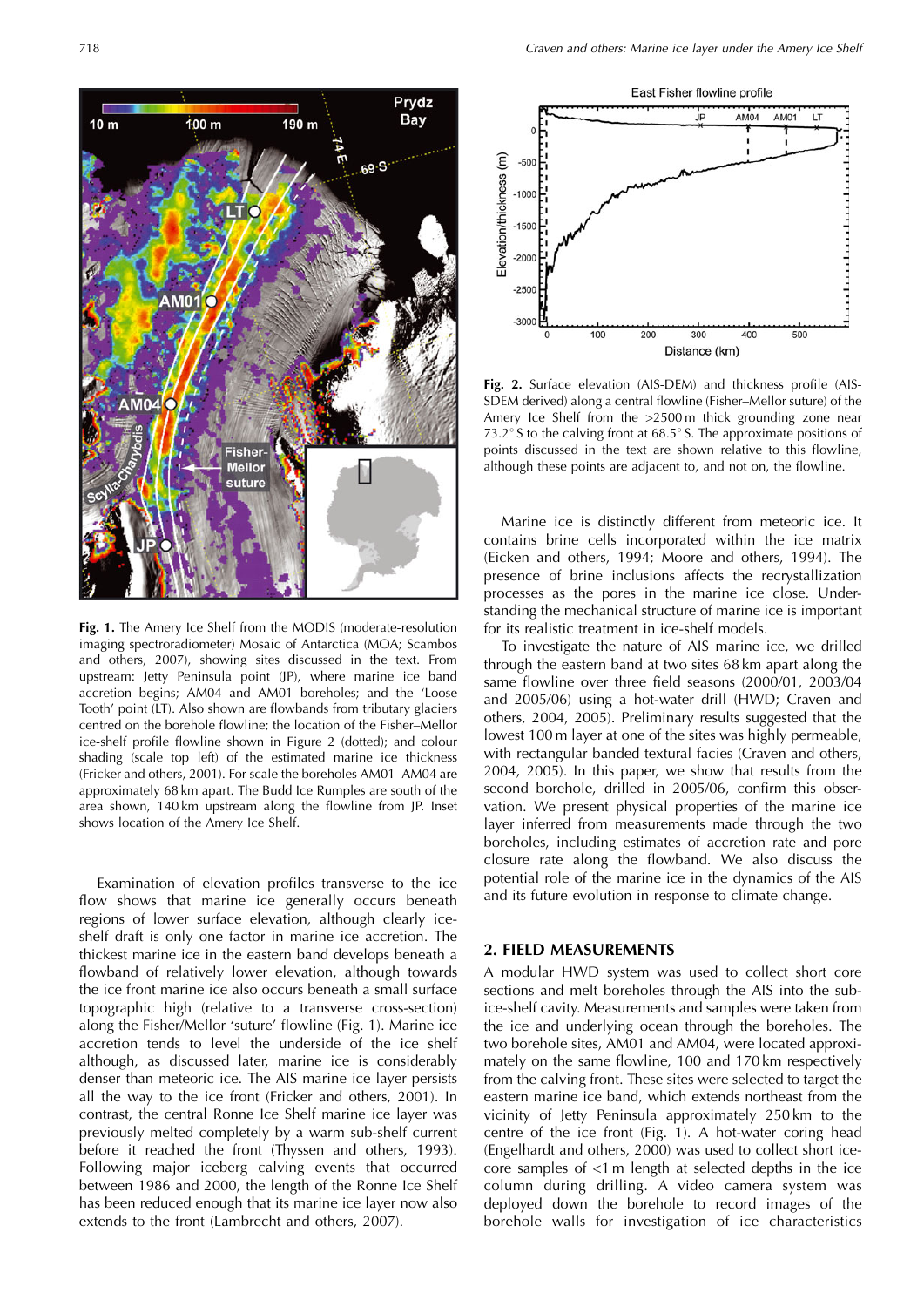Prydz Bay  $100<sub>m</sub>$ 190 m  $10<sub>m</sub>$ 69-S M<sub>01</sub> MN4 Fisher-**Mellor** suture

**Fig. 1.** The Amery Ice Shelf from the MODIS (moderate-resolution imaging spectroradiometer) Mosaic of Antarctica (MOA; Scambos and others, 2007), showing sites discussed in the text. From upstream: Jetty Peninsula point (JP), where marine ice band accretion begins; AM04 and AM01 boreholes; and the 'Loose Tooth' point (LT). Also shown are flowbands from tributary glaciers centred on the borehole flowline; the location of the Fisher–Mellor ice-shelf profile flowline shown in Figure 2 (dotted); and colour shading (scale top left) of the estimated marine ice thickness (Fricker and others, 2001). For scale the boreholes AM01–AM04 are approximately 68 km apart. The Budd Ice Rumples are south of the area shown, 140 km upstream along the flowline from JP. Inset shows location of the Amery Ice Shelf.

Examination of elevation profiles transverse to the ice flow shows that marine ice generally occurs beneath regions of lower surface elevation, although clearly iceshelf draft is only one factor in marine ice accretion. The thickest marine ice in the eastern band develops beneath a flowband of relatively lower elevation, although towards the ice front marine ice also occurs beneath a small surface topographic high (relative to a transverse cross-section) along the Fisher/Mellor 'suture' flowline (Fig. 1). Marine ice accretion tends to level the underside of the ice shelf although, as discussed later, marine ice is considerably denser than meteoric ice. The AIS marine ice layer persists all the way to the ice front (Fricker and others, 2001). In contrast, the central Ronne Ice Shelf marine ice layer was previously melted completely by a warm sub-shelf current before it reached the front (Thyssen and others, 1993). Following major iceberg calving events that occurred between 1986 and 2000, the length of the Ronne Ice Shelf has been reduced enough that its marine ice layer now also extends to the front (Lambrecht and others, 2007).



**Fig. 2.** Surface elevation (AIS-DEM) and thickness profile (AIS-SDEM derived) along a central flowline (Fisher–Mellor suture) of the Amery Ice Shelf from the >2500 m thick grounding zone near 73.2 $\degree$  S to the calving front at 68.5 $\degree$  S. The approximate positions of points discussed in the text are shown relative to this flowline, although these points are adjacent to, and not on, the flowline.

Marine ice is distinctly different from meteoric ice. It contains brine cells incorporated within the ice matrix (Eicken and others, 1994; Moore and others, 1994). The presence of brine inclusions affects the recrystallization processes as the pores in the marine ice close. Understanding the mechanical structure of marine ice is important for its realistic treatment in ice-shelf models.

To investigate the nature of AIS marine ice, we drilled through the eastern band at two sites 68 km apart along the same flowline over three field seasons (2000/01, 2003/04 and 2005/06) using a hot-water drill (HWD; Craven and others, 2004, 2005). Preliminary results suggested that the lowest 100 m layer at one of the sites was highly permeable, with rectangular banded textural facies (Craven and others, 2004, 2005). In this paper, we show that results from the second borehole, drilled in 2005/06, confirm this observation. We present physical properties of the marine ice layer inferred from measurements made through the two boreholes, including estimates of accretion rate and pore closure rate along the flowband. We also discuss the potential role of the marine ice in the dynamics of the AIS and its future evolution in response to climate change.

## **2. FIELD MEASUREMENTS**

A modular HWD system was used to collect short core sections and melt boreholes through the AIS into the subice-shelf cavity. Measurements and samples were taken from the ice and underlying ocean through the boreholes. The two borehole sites, AM01 and AM04, were located approximately on the same flowline, 100 and 170 km respectively from the calving front. These sites were selected to target the eastern marine ice band, which extends northeast from the vicinity of Jetty Peninsula approximately 250 km to the centre of the ice front (Fig. 1). A hot-water coring head (Engelhardt and others, 2000) was used to collect short icecore samples of <1 m length at selected depths in the ice column during drilling. A video camera system was deployed down the borehole to record images of the borehole walls for investigation of ice characteristics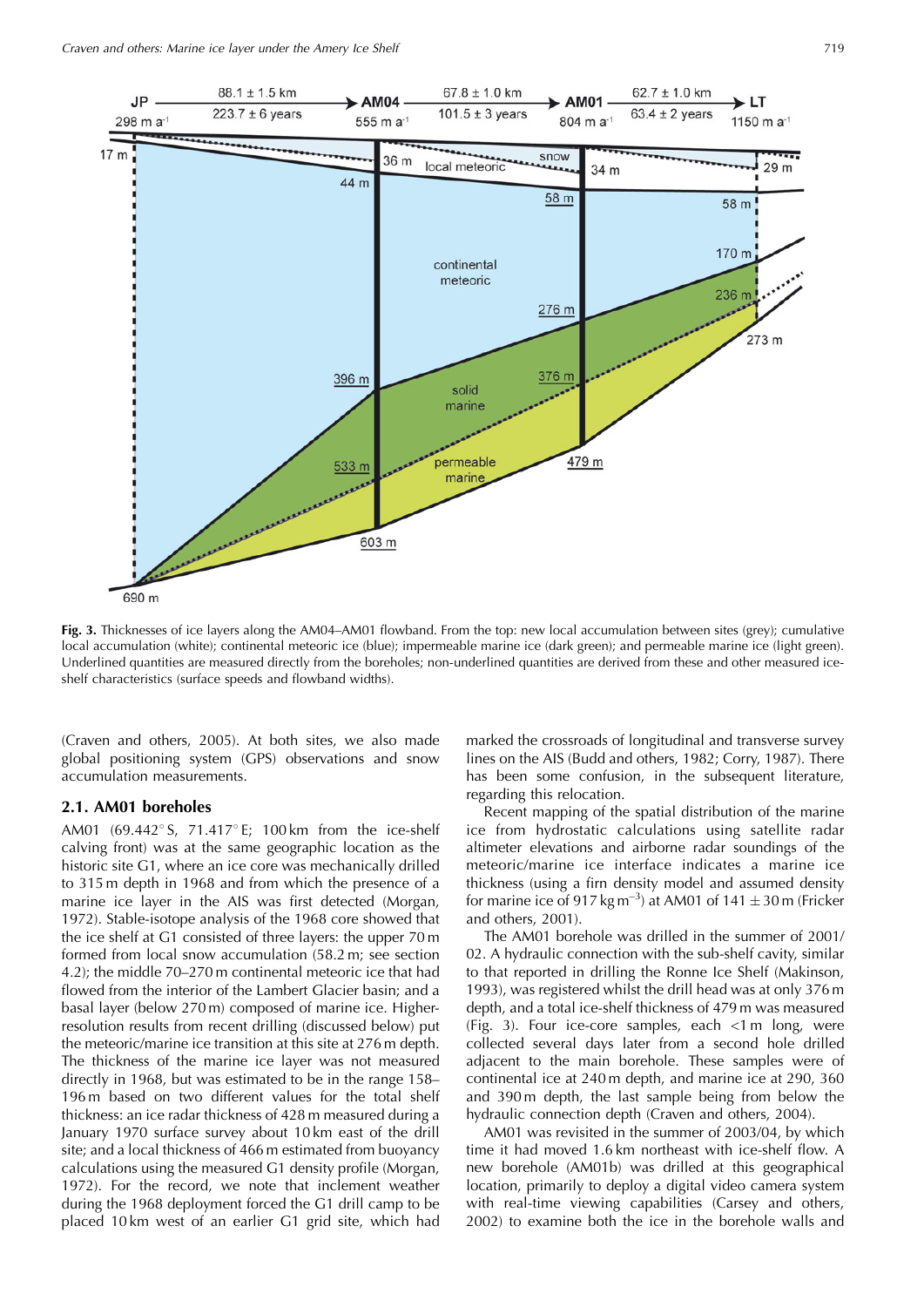

**Fig. 3.** Thicknesses of ice layers along the AM04–AM01 flowband. From the top: new local accumulation between sites (grey); cumulative local accumulation (white); continental meteoric ice (blue); impermeable marine ice (dark green); and permeable marine ice (light green). Underlined quantities are measured directly from the boreholes; non-underlined quantities are derived from these and other measured iceshelf characteristics (surface speeds and flowband widths).

(Craven and others, 2005). At both sites, we also made global positioning system (GPS) observations and snow accumulation measurements.

#### **2.1. AM01 boreholes**

AM01 (69.442 $\degree$ S, 71.417 $\degree$ E; 100 km from the ice-shelf calving front) was at the same geographic location as the historic site G1, where an ice core was mechanically drilled to 315 m depth in 1968 and from which the presence of a marine ice layer in the AIS was first detected (Morgan, 1972). Stable-isotope analysis of the 1968 core showed that the ice shelf at G1 consisted of three layers: the upper 70 m formed from local snow accumulation (58.2 m; see section 4.2); the middle 70–270 m continental meteoric ice that had flowed from the interior of the Lambert Glacier basin; and a basal layer (below 270 m) composed of marine ice. Higherresolution results from recent drilling (discussed below) put the meteoric/marine ice transition at this site at 276 m depth. The thickness of the marine ice layer was not measured directly in 1968, but was estimated to be in the range 158– 196 m based on two different values for the total shelf thickness: an ice radar thickness of 428 m measured during a January 1970 surface survey about 10 km east of the drill site; and a local thickness of 466 m estimated from buoyancy calculations using the measured G1 density profile (Morgan, 1972). For the record, we note that inclement weather during the 1968 deployment forced the G1 drill camp to be placed 10 km west of an earlier G1 grid site, which had

marked the crossroads of longitudinal and transverse survey lines on the AIS (Budd and others, 1982; Corry, 1987). There has been some confusion, in the subsequent literature, regarding this relocation.

Recent mapping of the spatial distribution of the marine ice from hydrostatic calculations using satellite radar altimeter elevations and airborne radar soundings of the meteoric/marine ice interface indicates a marine ice thickness (using a firn density model and assumed density for marine ice of 917 kg m<sup>-3</sup>) at AM01 of 141  $\pm$  30 m (Fricker and others, 2001).

The AM01 borehole was drilled in the summer of 2001/ 02. A hydraulic connection with the sub-shelf cavity, similar to that reported in drilling the Ronne Ice Shelf (Makinson, 1993), was registered whilst the drill head was at only 376 m depth, and a total ice-shelf thickness of 479 m was measured (Fig. 3). Four ice-core samples, each <1 m long, were collected several days later from a second hole drilled adjacent to the main borehole. These samples were of continental ice at 240 m depth, and marine ice at 290, 360 and 390 m depth, the last sample being from below the hydraulic connection depth (Craven and others, 2004).

AM01 was revisited in the summer of 2003/04, by which time it had moved 1.6 km northeast with ice-shelf flow. A new borehole (AM01b) was drilled at this geographical location, primarily to deploy a digital video camera system with real-time viewing capabilities (Carsey and others, 2002) to examine both the ice in the borehole walls and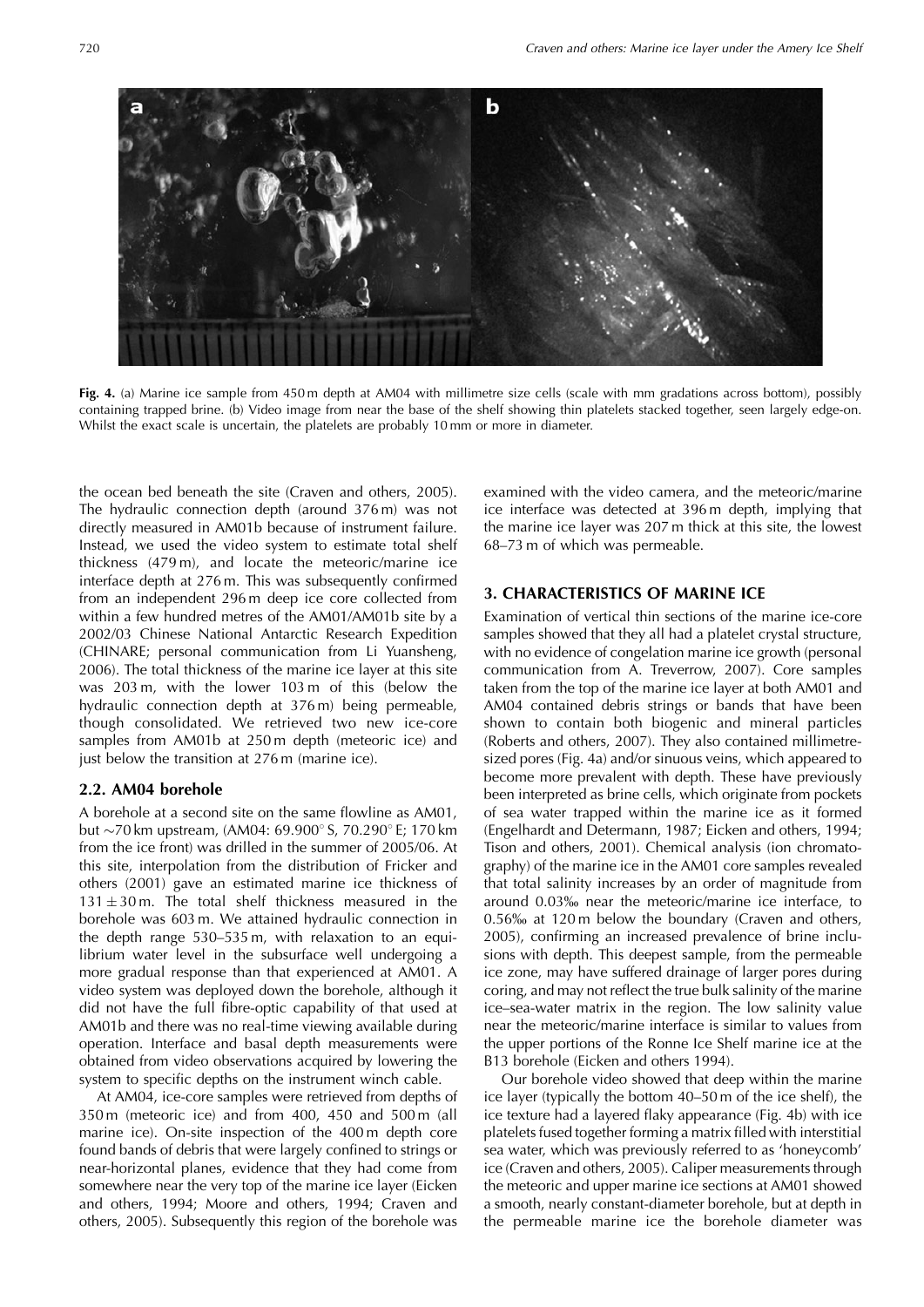

**Fig. 4.** (a) Marine ice sample from 450 m depth at AM04 with millimetre size cells (scale with mm gradations across bottom), possibly containing trapped brine. (b) Video image from near the base of the shelf showing thin platelets stacked together, seen largely edge-on. Whilst the exact scale is uncertain, the platelets are probably 10 mm or more in diameter.

the ocean bed beneath the site (Craven and others, 2005). The hydraulic connection depth (around 376 m) was not directly measured in AM01b because of instrument failure. Instead, we used the video system to estimate total shelf thickness (479 m), and locate the meteoric/marine ice interface depth at 276 m. This was subsequently confirmed from an independent 296 m deep ice core collected from within a few hundred metres of the AM01/AM01b site by a 2002/03 Chinese National Antarctic Research Expedition (CHINARE; personal communication from Li Yuansheng, 2006). The total thickness of the marine ice layer at this site was 203 m, with the lower 103 m of this (below the hydraulic connection depth at 376 m) being permeable, though consolidated. We retrieved two new ice-core samples from AM01b at 250 m depth (meteoric ice) and just below the transition at 276 m (marine ice).

## **2.2. AM04 borehole**

A borehole at a second site on the same flowline as AM01, but  $\sim$ 70 km upstream, (AM04: 69.900 $^{\circ}$  S, 70.290 $^{\circ}$  E; 170 km from the ice front) was drilled in the summer of 2005/06. At this site, interpolation from the distribution of Fricker and others (2001) gave an estimated marine ice thickness of  $131 \pm 30$  m. The total shelf thickness measured in the borehole was 603 m. We attained hydraulic connection in the depth range 530–535 m, with relaxation to an equilibrium water level in the subsurface well undergoing a more gradual response than that experienced at AM01. A video system was deployed down the borehole, although it did not have the full fibre-optic capability of that used at AM01b and there was no real-time viewing available during operation. Interface and basal depth measurements were obtained from video observations acquired by lowering the system to specific depths on the instrument winch cable.

At AM04, ice-core samples were retrieved from depths of 350 m (meteoric ice) and from 400, 450 and 500 m (all marine ice). On-site inspection of the 400 m depth core found bands of debris that were largely confined to strings or near-horizontal planes, evidence that they had come from somewhere near the very top of the marine ice layer (Eicken and others, 1994; Moore and others, 1994; Craven and others, 2005). Subsequently this region of the borehole was examined with the video camera, and the meteoric/marine ice interface was detected at 396 m depth, implying that the marine ice layer was 207 m thick at this site, the lowest 68–73 m of which was permeable.

# **3. CHARACTERISTICS OF MARINE ICE**

Examination of vertical thin sections of the marine ice-core samples showed that they all had a platelet crystal structure, with no evidence of congelation marine ice growth (personal communication from A. Treverrow, 2007). Core samples taken from the top of the marine ice layer at both AM01 and AM04 contained debris strings or bands that have been shown to contain both biogenic and mineral particles (Roberts and others, 2007). They also contained millimetresized pores (Fig. 4a) and/or sinuous veins, which appeared to become more prevalent with depth. These have previously been interpreted as brine cells, which originate from pockets of sea water trapped within the marine ice as it formed (Engelhardt and Determann, 1987; Eicken and others, 1994; Tison and others, 2001). Chemical analysis (ion chromatography) of the marine ice in the AM01 core samples revealed that total salinity increases by an order of magnitude from around 0.03% near the meteoric/marine ice interface, to 0.56% at 120 m below the boundary (Craven and others, 2005), confirming an increased prevalence of brine inclusions with depth. This deepest sample, from the permeable ice zone, may have suffered drainage of larger pores during coring, and may not reflect the true bulk salinity of the marine ice–sea-water matrix in the region. The low salinity value near the meteoric/marine interface is similar to values from the upper portions of the Ronne Ice Shelf marine ice at the B13 borehole (Eicken and others 1994).

Our borehole video showed that deep within the marine ice layer (typically the bottom 40–50 m of the ice shelf), the ice texture had a layered flaky appearance (Fig. 4b) with ice platelets fused together forming a matrix filled with interstitial sea water, which was previously referred to as 'honeycomb' ice (Craven and others, 2005). Caliper measurements through the meteoric and upper marine ice sections at AM01 showed a smooth, nearly constant-diameter borehole, but at depth in the permeable marine ice the borehole diameter was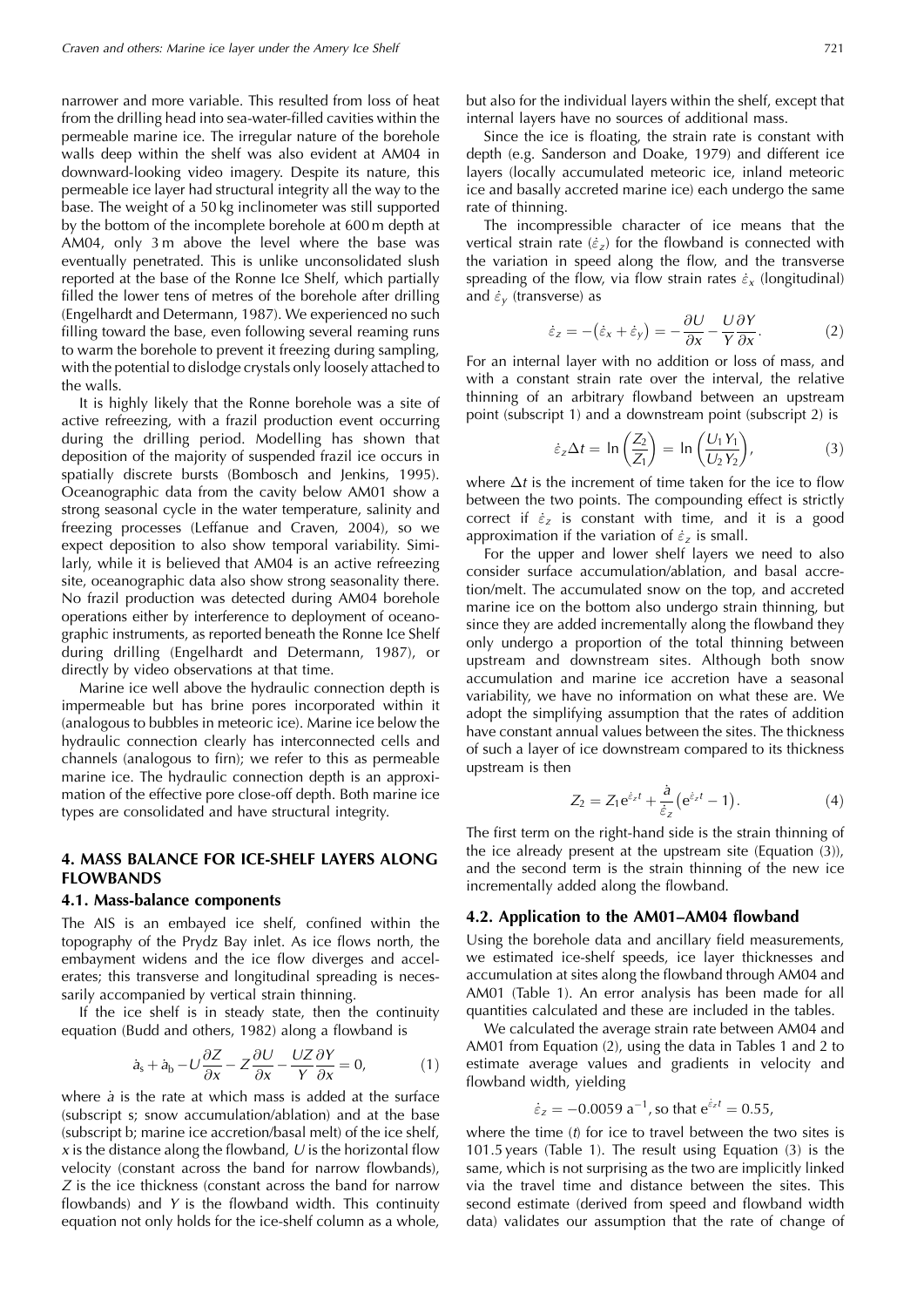narrower and more variable. This resulted from loss of heat from the drilling head into sea-water-filled cavities within the permeable marine ice. The irregular nature of the borehole walls deep within the shelf was also evident at AM04 in downward-looking video imagery. Despite its nature, this permeable ice layer had structural integrity all the way to the base. The weight of a 50 kg inclinometer was still supported by the bottom of the incomplete borehole at 600 m depth at AM04, only 3 m above the level where the base was eventually penetrated. This is unlike unconsolidated slush reported at the base of the Ronne Ice Shelf, which partially filled the lower tens of metres of the borehole after drilling (Engelhardt and Determann, 1987). We experienced no such filling toward the base, even following several reaming runs to warm the borehole to prevent it freezing during sampling, with the potential to dislodge crystals only loosely attached to the walls.

It is highly likely that the Ronne borehole was a site of active refreezing, with a frazil production event occurring during the drilling period. Modelling has shown that deposition of the majority of suspended frazil ice occurs in spatially discrete bursts (Bombosch and Jenkins, 1995). Oceanographic data from the cavity below AM01 show a strong seasonal cycle in the water temperature, salinity and freezing processes (Leffanue and Craven, 2004), so we expect deposition to also show temporal variability. Similarly, while it is believed that AM04 is an active refreezing site, oceanographic data also show strong seasonality there. No frazil production was detected during AM04 borehole operations either by interference to deployment of oceanographic instruments, as reported beneath the Ronne Ice Shelf during drilling (Engelhardt and Determann, 1987), or directly by video observations at that time.

Marine ice well above the hydraulic connection depth is impermeable but has brine pores incorporated within it (analogous to bubbles in meteoric ice). Marine ice below the hydraulic connection clearly has interconnected cells and channels (analogous to firn); we refer to this as permeable marine ice. The hydraulic connection depth is an approximation of the effective pore close-off depth. Both marine ice types are consolidated and have structural integrity.

### **4. MASS BALANCE FOR ICE-SHELF LAYERS ALONG FLOWBANDS**

## **4.1. Mass-balance components**

The AIS is an embayed ice shelf, confined within the topography of the Prydz Bay inlet. As ice flows north, the embayment widens and the ice flow diverges and accelerates; this transverse and longitudinal spreading is necessarily accompanied by vertical strain thinning.

If the ice shelf is in steady state, then the continuity equation (Budd and others, 1982) along a flowband is

$$
\dot{a}_{s} + \dot{a}_{b} - U \frac{\partial Z}{\partial x} - Z \frac{\partial U}{\partial x} - \frac{UZ}{Y} \frac{\partial Y}{\partial x} = 0, \tag{1}
$$

where  $\dot{a}$  is the rate at which mass is added at the surface (subscript s; snow accumulation/ablation) and at the base (subscript b; marine ice accretion/basal melt) of the ice shelf,  $x$  is the distance along the flowband,  $U$  is the horizontal flow velocity (constant across the band for narrow flowbands), Z is the ice thickness (constant across the band for narrow flowbands) and  $Y$  is the flowband width. This continuity equation not only holds for the ice-shelf column as a whole,

Since the ice is floating, the strain rate is constant with depth (e.g. Sanderson and Doake, 1979) and different ice layers (locally accumulated meteoric ice, inland meteoric ice and basally accreted marine ice) each undergo the same rate of thinning.

The incompressible character of ice means that the vertical strain rate  $(\dot{\varepsilon}_z)$  for the flowband is connected with the variation in speed along the flow, and the transverse spreading of the flow, via flow strain rates  $\dot{\varepsilon}_x$  (longitudinal) and  $\dot{\varepsilon}_v$  (transverse) as

$$
\dot{\varepsilon}_z = -(\dot{\varepsilon}_x + \dot{\varepsilon}_y) = -\frac{\partial U}{\partial x} - \frac{U}{Y}\frac{\partial Y}{\partial x}.
$$
 (2)

For an internal layer with no addition or loss of mass, and with a constant strain rate over the interval, the relative thinning of an arbitrary flowband between an upstream point (subscript 1) and a downstream point (subscript 2) is

$$
\dot{\varepsilon}_z \Delta t = \ln \left( \frac{Z_2}{Z_1} \right) = \ln \left( \frac{U_1 Y_1}{U_2 Y_2} \right),\tag{3}
$$

where  $\Delta t$  is the increment of time taken for the ice to flow between the two points. The compounding effect is strictly correct if  $\dot{\varepsilon}_z$  is constant with time, and it is a good approximation if the variation of  $\dot{\varepsilon}_z$  is small.

For the upper and lower shelf layers we need to also consider surface accumulation/ablation, and basal accretion/melt. The accumulated snow on the top, and accreted marine ice on the bottom also undergo strain thinning, but since they are added incrementally along the flowband they only undergo a proportion of the total thinning between upstream and downstream sites. Although both snow accumulation and marine ice accretion have a seasonal variability, we have no information on what these are. We adopt the simplifying assumption that the rates of addition have constant annual values between the sites. The thickness of such a layer of ice downstream compared to its thickness upstream is then

$$
Z_2 = Z_1 e^{\dot{\varepsilon}_z t} + \frac{\dot{a}}{\dot{\varepsilon}_z} (e^{\dot{\varepsilon}_z t} - 1).
$$
 (4)

The first term on the right-hand side is the strain thinning of the ice already present at the upstream site (Equation (3)), and the second term is the strain thinning of the new ice incrementally added along the flowband.

#### **4.2. Application to the AM01–AM04 flowband**

Using the borehole data and ancillary field measurements, we estimated ice-shelf speeds, ice layer thicknesses and accumulation at sites along the flowband through AM04 and AM01 (Table 1). An error analysis has been made for all quantities calculated and these are included in the tables.

We calculated the average strain rate between AM04 and AM01 from Equation (2), using the data in Tables 1 and 2 to estimate average values and gradients in velocity and flowband width, yielding

$$
\dot{\varepsilon}_z = -0.0059 \text{ a}^{-1}
$$
, so that  $e^{\dot{\varepsilon}_z t} = 0.55$ ,

where the time  $(t)$  for ice to travel between the two sites is 101.5 years (Table 1). The result using Equation (3) is the same, which is not surprising as the two are implicitly linked via the travel time and distance between the sites. This second estimate (derived from speed and flowband width data) validates our assumption that the rate of change of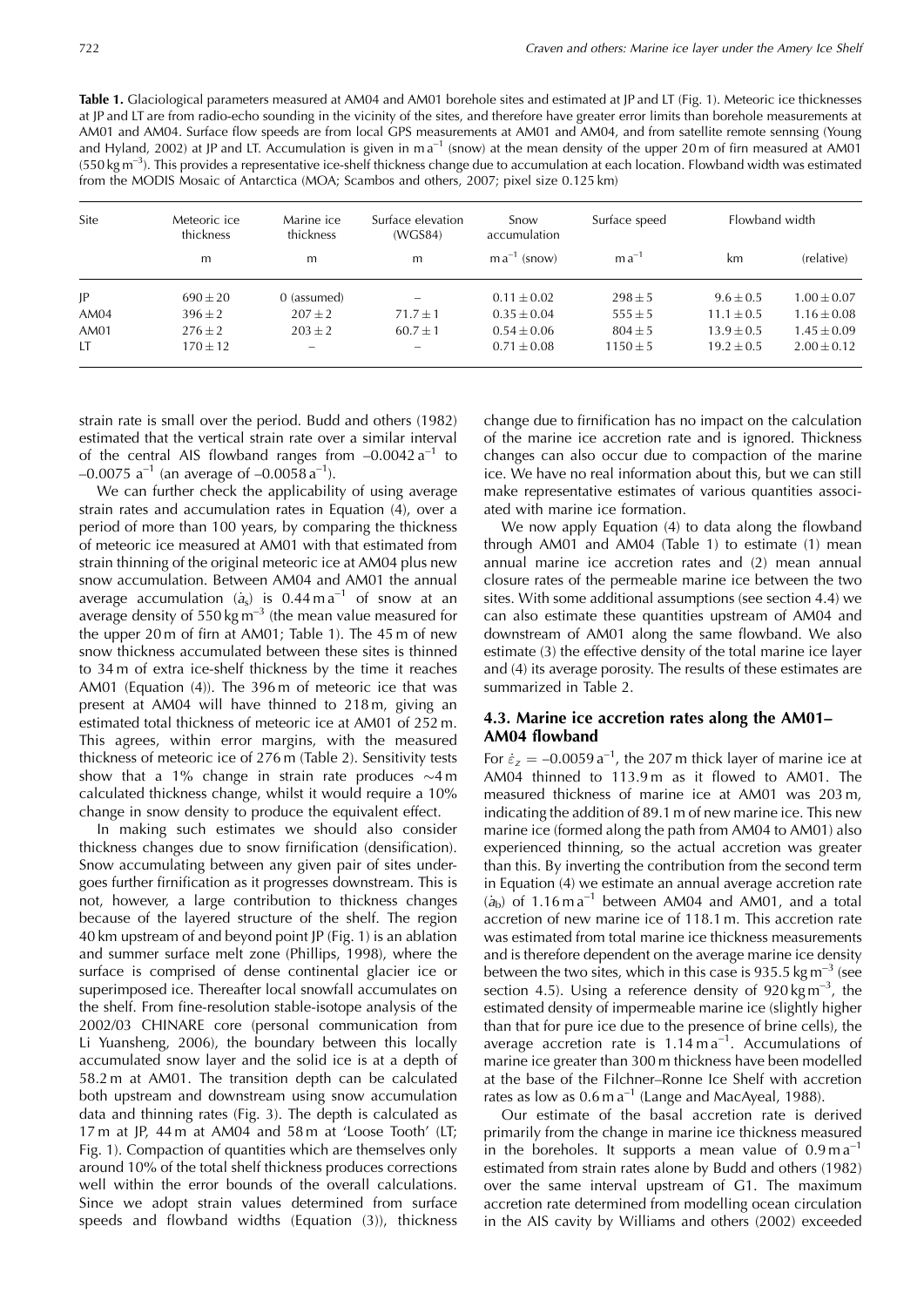| <b>Table 1.</b> Glaciological parameters measured at AM04 and AM01 borehole sites and estimated at JP and LT (Fig. 1). Meteoric ice thicknesses         |
|---------------------------------------------------------------------------------------------------------------------------------------------------------|
| at JP and LT are from radio-echo sounding in the vicinity of the sites, and therefore have greater error limits than borehole measurements at           |
| AM01 and AM04. Surface flow speeds are from local GPS measurements at AM01 and AM04, and from satellite remote sennsing (Young                          |
| and Hyland, 2002) at JP and LT. Accumulation is given in ma <sup>-1</sup> (snow) at the mean density of the upper 20 m of firn measured at AM01         |
| (550 kg m <sup>-3</sup> ). This provides a representative ice-shelf thickness change due to accumulation at each location. Flowband width was estimated |
| from the MODIS Mosaic of Antarctica (MOA; Scambos and others, 2007; pixel size 0.125 km)                                                                |
|                                                                                                                                                         |

| Site | Meteoric ice<br>thickness<br>m | Marine ice<br>thickness<br>m | Surface elevation<br>(WGS84)<br>m | Snow<br>accumulation<br>$ma^{-1}$ (snow) | Surface speed<br>$ma^{-1}$ | Flowband width |                 |
|------|--------------------------------|------------------------------|-----------------------------------|------------------------------------------|----------------------------|----------------|-----------------|
|      |                                |                              |                                   |                                          |                            | km             | (relative)      |
| JP   | $690 \pm 20$                   | $0$ (assumed)                | $\overline{\phantom{0}}$          | $0.11 \pm 0.02$                          | $298 \pm 5$                | $9.6 \pm 0.5$  | $1.00 \pm 0.07$ |
| AM04 | $396 \pm 2$                    | $207 + 2$                    | $71.7 + 1$                        | $0.35 \pm 0.04$                          | $555 \pm 5$                | $11.1 \pm 0.5$ | $1.16 \pm 0.08$ |
| AM01 | $276 \pm 2$                    | $203 \pm 2$                  | $60.7 \pm 1$                      | $0.54 \pm 0.06$                          | $804 \pm 5$                | $13.9 \pm 0.5$ | $1.45 \pm 0.09$ |
| IТ   | $170 \pm 12$                   | $\qquad \qquad -$            | $\qquad \qquad -$                 | $0.71 \pm 0.08$                          | $1150 \pm 5$               | $19.2 \pm 0.5$ | $2.00 \pm 0.12$ |

strain rate is small over the period. Budd and others (1982) estimated that the vertical strain rate over a similar interval of the central AIS flowband ranges from  $-0.0042 a^{-1}$  to  $-0.0075$  a<sup>-1</sup> (an average of  $-0.0058$  a<sup>-1</sup>).

We can further check the applicability of using average strain rates and accumulation rates in Equation (4), over a period of more than 100 years, by comparing the thickness of meteoric ice measured at AM01 with that estimated from strain thinning of the original meteoric ice at AM04 plus new snow accumulation. Between AM04 and AM01 the annual average accumulation ( $\dot{a}_s$ ) is 0.44 m a<sup>-1</sup> of snow at an average density of 550 kg  $\text{m}^{-3}$  (the mean value measured for the upper 20 m of firn at AM01; Table 1). The 45 m of new snow thickness accumulated between these sites is thinned to 34 m of extra ice-shelf thickness by the time it reaches AM01 (Equation (4)). The 396 m of meteoric ice that was present at AM04 will have thinned to 218 m, giving an estimated total thickness of meteoric ice at AM01 of 252 m. This agrees, within error margins, with the measured thickness of meteoric ice of 276 m (Table 2). Sensitivity tests show that a 1% change in strain rate produces  $\sim$ 4 m calculated thickness change, whilst it would require a 10% change in snow density to produce the equivalent effect.

In making such estimates we should also consider thickness changes due to snow firnification (densification). Snow accumulating between any given pair of sites undergoes further firnification as it progresses downstream. This is not, however, a large contribution to thickness changes because of the layered structure of the shelf. The region 40 km upstream of and beyond point JP (Fig. 1) is an ablation and summer surface melt zone (Phillips, 1998), where the surface is comprised of dense continental glacier ice or superimposed ice. Thereafter local snowfall accumulates on the shelf. From fine-resolution stable-isotope analysis of the 2002/03 CHINARE core (personal communication from Li Yuansheng, 2006), the boundary between this locally accumulated snow layer and the solid ice is at a depth of 58.2 m at AM01. The transition depth can be calculated both upstream and downstream using snow accumulation data and thinning rates (Fig. 3). The depth is calculated as 17 m at JP, 44 m at AM04 and 58 m at 'Loose Tooth' (LT; Fig. 1). Compaction of quantities which are themselves only around 10% of the total shelf thickness produces corrections well within the error bounds of the overall calculations. Since we adopt strain values determined from surface speeds and flowband widths (Equation (3)), thickness

change due to firnification has no impact on the calculation of the marine ice accretion rate and is ignored. Thickness changes can also occur due to compaction of the marine ice. We have no real information about this, but we can still make representative estimates of various quantities associated with marine ice formation.

We now apply Equation (4) to data along the flowband through AM01 and AM04 (Table 1) to estimate (1) mean annual marine ice accretion rates and (2) mean annual closure rates of the permeable marine ice between the two sites. With some additional assumptions (see section 4.4) we can also estimate these quantities upstream of AM04 and downstream of AM01 along the same flowband. We also estimate (3) the effective density of the total marine ice layer and (4) its average porosity. The results of these estimates are summarized in Table 2.

#### **4.3. Marine ice accretion rates along the AM01– AM04 flowband**

For  $\dot{\epsilon}_z = -0.0059 \,\mathrm{a}^{-1}$ , the 207 m thick layer of marine ice at AM04 thinned to 113.9 m as it flowed to AM01. The measured thickness of marine ice at AM01 was 203 m, indicating the addition of 89.1 m of new marine ice. This new marine ice (formed along the path from AM04 to AM01) also experienced thinning, so the actual accretion was greater than this. By inverting the contribution from the second term in Equation (4) we estimate an annual average accretion rate  $(\dot{a}_{\rm b})$  of 1.16 m a<sup>-1</sup> between AM04 and AM01, and a total accretion of new marine ice of 118.1 m. This accretion rate was estimated from total marine ice thickness measurements and is therefore dependent on the average marine ice density between the two sites, which in this case is 935.5 kg  $\text{m}^{-3}$  (see section 4.5). Using a reference density of 920 kg m<sup>-3</sup>, the estimated density of impermeable marine ice (slightly higher than that for pure ice due to the presence of brine cells), the average accretion rate is  $1.14 \text{ m a}^{-1}$ . Accumulations of marine ice greater than 300 m thickness have been modelled at the base of the Filchner–Ronne Ice Shelf with accretion rates as low as  $0.6$  m  $a^{-1}$  (Lange and MacAyeal, 1988).

Our estimate of the basal accretion rate is derived primarily from the change in marine ice thickness measured in the boreholes. It supports a mean value of  $0.9 \text{ m a}^{-1}$ estimated from strain rates alone by Budd and others (1982) over the same interval upstream of G1. The maximum accretion rate determined from modelling ocean circulation in the AIS cavity by Williams and others (2002) exceeded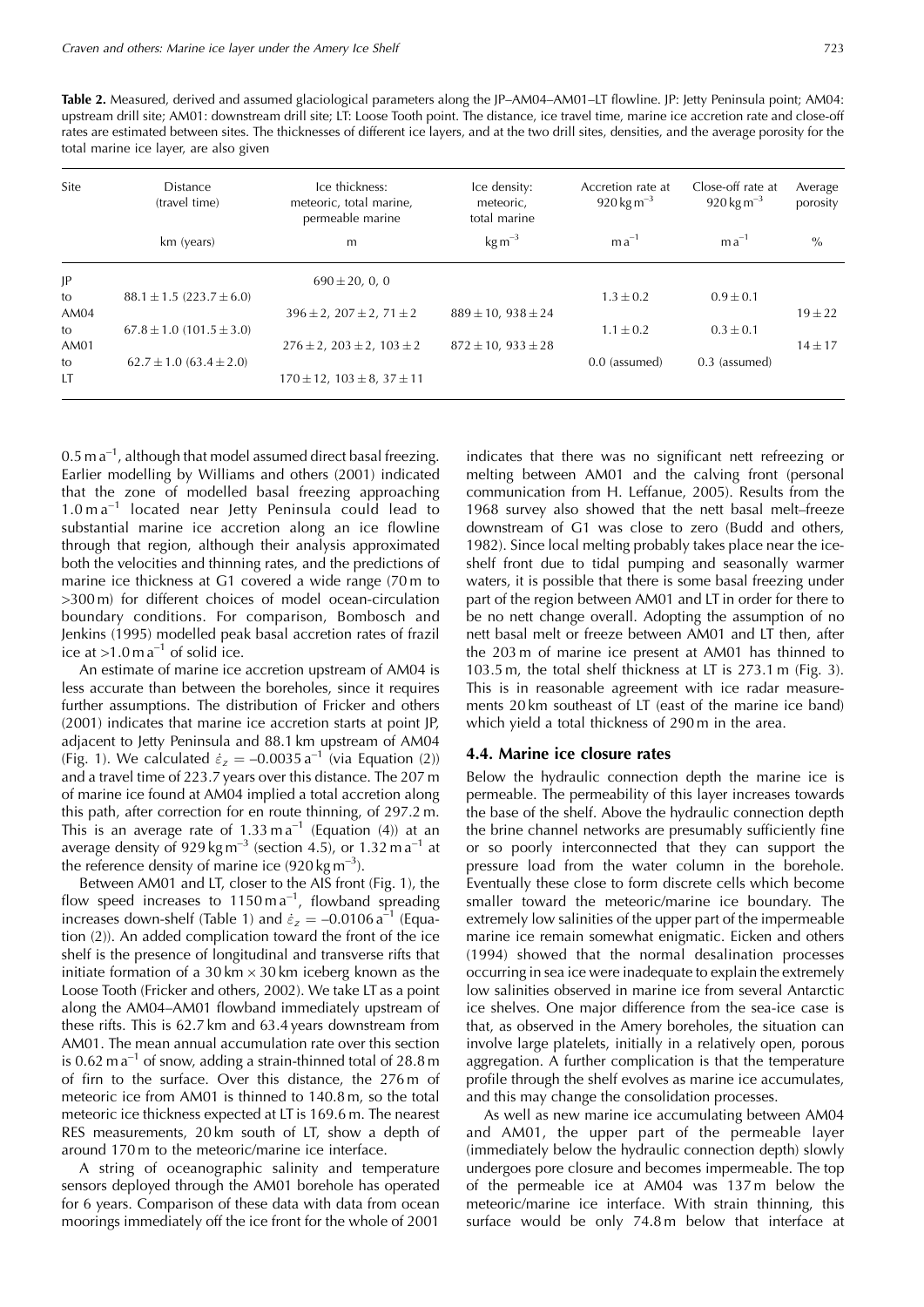**Table 2.** Measured, derived and assumed glaciological parameters along the JP–AM04–AM01–LT flowline. JP: Jetty Peninsula point; AM04: upstream drill site; AM01: downstream drill site; LT: Loose Tooth point. The distance, ice travel time, marine ice accretion rate and close-off rates are estimated between sites. The thicknesses of different ice layers, and at the two drill sites, densities, and the average porosity for the total marine ice layer, are also given

| Site | <b>Distance</b><br>(travel time) | Ice thickness:<br>meteoric, total marine,<br>permeable marine | Ice density:<br>meteoric,<br>total marine | Accretion rate at<br>920 kg m <sup>-3</sup> | Close-off rate at<br>920 kg m <sup><math>-3</math></sup> | Average<br>porosity |
|------|----------------------------------|---------------------------------------------------------------|-------------------------------------------|---------------------------------------------|----------------------------------------------------------|---------------------|
|      | km (years)                       | m                                                             | $\text{kg m}^{-3}$                        | $m a^{-1}$                                  | $m a^{-1}$                                               | $\%$                |
| JP   |                                  | $690 \pm 20, 0, 0$                                            |                                           |                                             |                                                          |                     |
| to   | $88.1 \pm 1.5 (223.7 \pm 6.0)$   |                                                               |                                           | $1.3 \pm 0.2$                               | $0.9 \pm 0.1$                                            |                     |
| AM04 |                                  | $396 \pm 2$ , $207 \pm 2$ , $71 \pm 2$                        | $889 \pm 10,938 \pm 24$                   |                                             |                                                          | $19 \pm 22$         |
| to   | $67.8 \pm 1.0$ (101.5 $\pm$ 3.0) |                                                               |                                           | $1.1 \pm 0.2$                               | $0.3 \pm 0.1$                                            |                     |
| AM01 |                                  | $276 \pm 2$ , $203 \pm 2$ , $103 \pm 2$                       | $872 \pm 10,933 \pm 28$                   |                                             |                                                          | $14 \pm 17$         |
| to   | $62.7 \pm 1.0$ $(63.4 \pm 2.0)$  |                                                               |                                           | 0.0 (assumed)                               | $0.3$ (assumed)                                          |                     |
| LT   |                                  | $170 \pm 12$ , $103 \pm 8$ , $37 \pm 11$                      |                                           |                                             |                                                          |                     |

0.5 m  $a^{-1}$ , although that model assumed direct basal freezing. Earlier modelling by Williams and others (2001) indicated that the zone of modelled basal freezing approaching  $1.0 \text{ m a}^{-1}$  located near Jetty Peninsula could lead to substantial marine ice accretion along an ice flowline through that region, although their analysis approximated both the velocities and thinning rates, and the predictions of marine ice thickness at G1 covered a wide range (70 m to >300 m) for different choices of model ocean-circulation boundary conditions. For comparison, Bombosch and Jenkins (1995) modelled peak basal accretion rates of frazil ice at  $>1.0$  m a<sup>-1</sup> of solid ice.

An estimate of marine ice accretion upstream of AM04 is less accurate than between the boreholes, since it requires further assumptions. The distribution of Fricker and others (2001) indicates that marine ice accretion starts at point JP, adjacent to Jetty Peninsula and 88.1 km upstream of AM04 (Fig. 1). We calculated  $\dot{\varepsilon}_z = -0.0035 \,\mathrm{a}^{-1}$  (via Equation (2)) and a travel time of 223.7 years over this distance. The 207 m of marine ice found at AM04 implied a total accretion along this path, after correction for en route thinning, of 297.2 m. This is an average rate of  $1.33 \text{ m a}^{-1}$  (Equation (4)) at an average density of  $929 \text{ kg m}^{-3}$  (section 4.5), or  $1.32 \text{ m a}^{-1}$  at the reference density of marine ice  $(920 \text{ kg m}^{-3})$ .

Between AM01 and LT, closer to the AIS front (Fig. 1), the flow speed increases to  $1150 \text{ m a}^{-1}$ , flowband spreading increases down-shelf (Table 1) and  $\dot{\varepsilon}_z = -0.0106 \,\mathrm{a}^{-1}$  (Equation (2)). An added complication toward the front of the ice shelf is the presence of longitudinal and transverse rifts that initiate formation of a  $30 \text{ km} \times 30 \text{ km}$  iceberg known as the Loose Tooth (Fricker and others, 2002). We take LT as a point along the AM04–AM01 flowband immediately upstream of these rifts. This is 62.7 km and 63.4 years downstream from AM01. The mean annual accumulation rate over this section is 0.62 m  $a^{-1}$  of snow, adding a strain-thinned total of 28.8 m of firn to the surface. Over this distance, the 276 m of meteoric ice from AM01 is thinned to 140.8 m, so the total meteoric ice thickness expected at LT is 169.6 m. The nearest RES measurements, 20 km south of LT, show a depth of around 170 m to the meteoric/marine ice interface.

A string of oceanographic salinity and temperature sensors deployed through the AM01 borehole has operated for 6 years. Comparison of these data with data from ocean moorings immediately off the ice front for the whole of 2001

indicates that there was no significant nett refreezing or melting between AM01 and the calving front (personal communication from H. Leffanue, 2005). Results from the 1968 survey also showed that the nett basal melt–freeze downstream of G1 was close to zero (Budd and others, 1982). Since local melting probably takes place near the iceshelf front due to tidal pumping and seasonally warmer waters, it is possible that there is some basal freezing under part of the region between AM01 and LT in order for there to be no nett change overall. Adopting the assumption of no nett basal melt or freeze between AM01 and LT then, after the 203 m of marine ice present at AM01 has thinned to 103.5 m, the total shelf thickness at LT is 273.1 m (Fig. 3). This is in reasonable agreement with ice radar measurements 20 km southeast of LT (east of the marine ice band) which yield a total thickness of 290 m in the area.

#### **4.4. Marine ice closure rates**

Below the hydraulic connection depth the marine ice is permeable. The permeability of this layer increases towards the base of the shelf. Above the hydraulic connection depth the brine channel networks are presumably sufficiently fine or so poorly interconnected that they can support the pressure load from the water column in the borehole. Eventually these close to form discrete cells which become smaller toward the meteoric/marine ice boundary. The extremely low salinities of the upper part of the impermeable marine ice remain somewhat enigmatic. Eicken and others (1994) showed that the normal desalination processes occurring in sea ice were inadequate to explain the extremely low salinities observed in marine ice from several Antarctic ice shelves. One major difference from the sea-ice case is that, as observed in the Amery boreholes, the situation can involve large platelets, initially in a relatively open, porous aggregation. A further complication is that the temperature profile through the shelf evolves as marine ice accumulates, and this may change the consolidation processes.

As well as new marine ice accumulating between AM04 and AM01, the upper part of the permeable layer (immediately below the hydraulic connection depth) slowly undergoes pore closure and becomes impermeable. The top of the permeable ice at AM04 was 137 m below the meteoric/marine ice interface. With strain thinning, this surface would be only 74.8 m below that interface at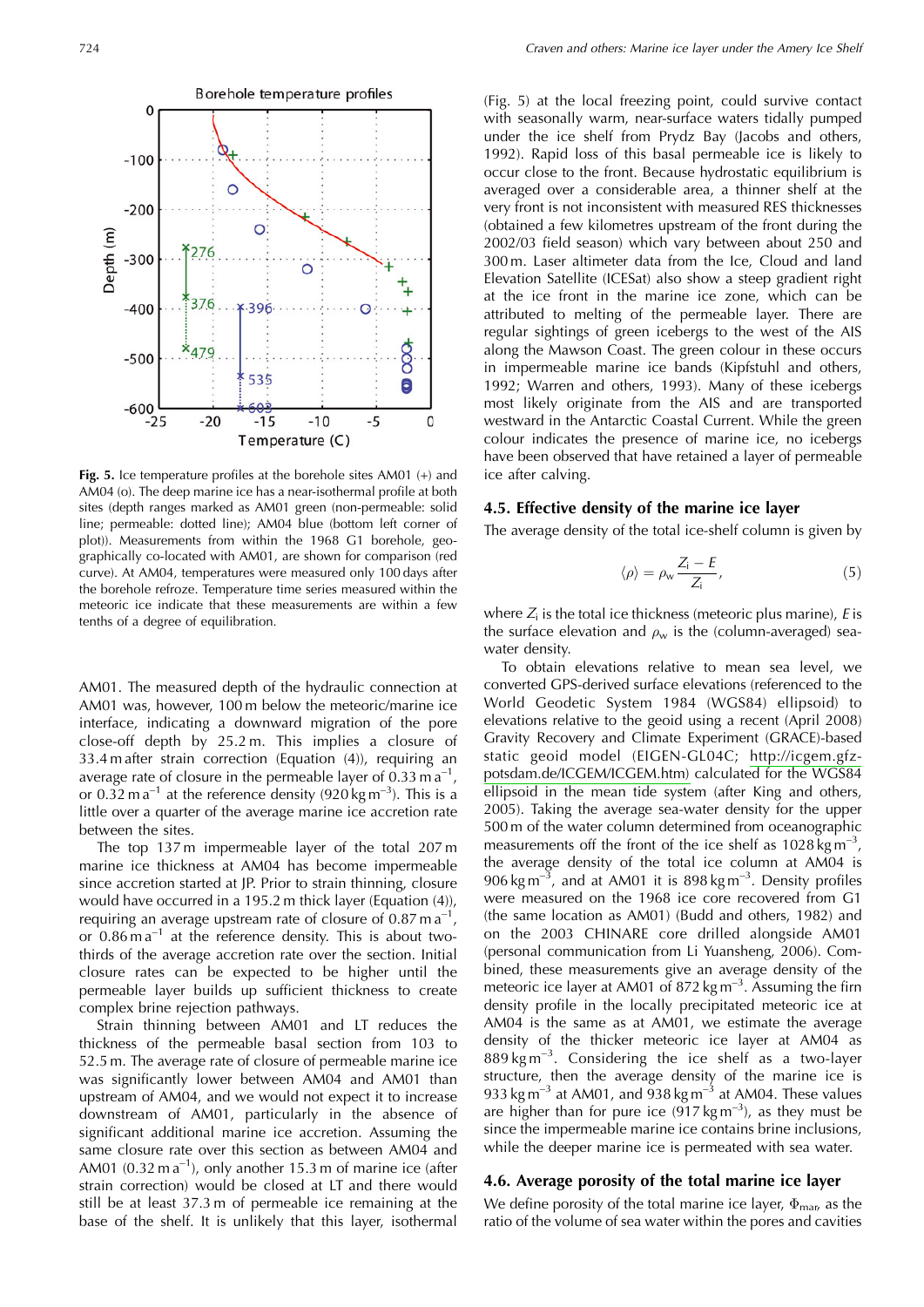

**Fig. 5.** Ice temperature profiles at the borehole sites AM01 (+) and AM04 (o). The deep marine ice has a near-isothermal profile at both sites (depth ranges marked as AM01 green (non-permeable: solid line; permeable: dotted line); AM04 blue (bottom left corner of plot)). Measurements from within the 1968 G1 borehole, geographically co-located with AM01, are shown for comparison (red curve). At AM04, temperatures were measured only 100 days after the borehole refroze. Temperature time series measured within the meteoric ice indicate that these measurements are within a few tenths of a degree of equilibration.

AM01. The measured depth of the hydraulic connection at AM01 was, however, 100 m below the meteoric/marine ice interface, indicating a downward migration of the pore close-off depth by 25.2 m. This implies a closure of 33.4 m after strain correction (Equation (4)), requiring an average rate of closure in the permeable layer of  $0.33 \text{ m a}^{-1}$ , or  $0.32$  m a<sup>-1</sup> at the reference density (920 kg m<sup>-3</sup>). This is a little over a quarter of the average marine ice accretion rate between the sites.

The top 137 m impermeable layer of the total 207 m marine ice thickness at AM04 has become impermeable since accretion started at JP. Prior to strain thinning, closure would have occurred in a 195.2 m thick layer (Equation (4)), requiring an average upstream rate of closure of  $0.87$  m a<sup>-1</sup> or  $0.86 \text{ m}\text{ a}^{-1}$  at the reference density. This is about twothirds of the average accretion rate over the section. Initial closure rates can be expected to be higher until the permeable layer builds up sufficient thickness to create complex brine rejection pathways.

Strain thinning between AM01 and LT reduces the thickness of the permeable basal section from 103 to 52.5 m. The average rate of closure of permeable marine ice was significantly lower between AM04 and AM01 than upstream of AM04, and we would not expect it to increase downstream of AM01, particularly in the absence of significant additional marine ice accretion. Assuming the same closure rate over this section as between AM04 and AM01  $(0.32 \text{ m a}^{-1})$ , only another 15.3 m of marine ice (after strain correction) would be closed at LT and there would still be at least 37.3 m of permeable ice remaining at the base of the shelf. It is unlikely that this layer, isothermal

(Fig. 5) at the local freezing point, could survive contact with seasonally warm, near-surface waters tidally pumped under the ice shelf from Prydz Bay (Jacobs and others, 1992). Rapid loss of this basal permeable ice is likely to occur close to the front. Because hydrostatic equilibrium is averaged over a considerable area, a thinner shelf at the very front is not inconsistent with measured RES thicknesses (obtained a few kilometres upstream of the front during the 2002/03 field season) which vary between about 250 and 300 m. Laser altimeter data from the Ice, Cloud and land Elevation Satellite (ICESat) also show a steep gradient right at the ice front in the marine ice zone, which can be attributed to melting of the permeable layer. There are regular sightings of green icebergs to the west of the AIS along the Mawson Coast. The green colour in these occurs in impermeable marine ice bands (Kipfstuhl and others, 1992; Warren and others, 1993). Many of these icebergs most likely originate from the AIS and are transported westward in the Antarctic Coastal Current. While the green colour indicates the presence of marine ice, no icebergs have been observed that have retained a layer of permeable ice after calving.

# **4.5. Effective density of the marine ice layer**

The average density of the total ice-shelf column is given by

$$
\langle \rho \rangle = \rho_{\rm w} \frac{Z_{\rm i} - E}{Z_{\rm i}},\tag{5}
$$

where  $Z_i$  is the total ice thickness (meteoric plus marine), E is the surface elevation and  $\rho_\mathrm{w}$  is the (column-averaged) seawater density.

To obtain elevations relative to mean sea level, we converted GPS-derived surface elevations (referenced to the World Geodetic System 1984 (WGS84) ellipsoid) to elevations relative to the geoid using a recent (April 2008) Gravity Recovery and Climate Experiment (GRACE)-based static geoid model (EIGEN-GL04C; [http://icgem.gfz](http://icgem.gfz-potsdam.de/ICGEM/ICGEM.htm)[potsdam.de/ICGEM/ICGEM.htm\)](http://icgem.gfz-potsdam.de/ICGEM/ICGEM.htm) calculated for the WGS84 ellipsoid in the mean tide system (after King and others, 2005). Taking the average sea-water density for the upper 500 m of the water column determined from oceanographic measurements off the front of the ice shelf as  $1028 \text{ kg m}^{-3}$ , the average density of the total ice column at AM04 is 906 kg m<sup>-3</sup>, and at AM01 it is  $898 \text{ kg m}^{-3}$ . Density profiles were measured on the 1968 ice core recovered from G1 (the same location as AM01) (Budd and others, 1982) and on the 2003 CHINARE core drilled alongside AM01 (personal communication from Li Yuansheng, 2006). Combined, these measurements give an average density of the meteoric ice layer at AM01 of 872 kg  $\text{m}^{-3}$ . Assuming the firn density profile in the locally precipitated meteoric ice at AM04 is the same as at AM01, we estimate the average density of the thicker meteoric ice layer at AM04 as  $889 \,\mathrm{kg\,m}^{-3}$ . Considering the ice shelf as a two-layer structure, then the average density of the marine ice is 933 kg m<sup>-3</sup> at AM01, and 938 kg m<sup>-3</sup> at AM04. These values are higher than for pure ice  $(917 \text{ kg m}^{-3})$ , as they must be since the impermeable marine ice contains brine inclusions, while the deeper marine ice is permeated with sea water.

## **4.6. Average porosity of the total marine ice layer**

We define porosity of the total marine ice layer,  $\Phi_{\text{max}}$  as the ratio of the volume of sea water within the pores and cavities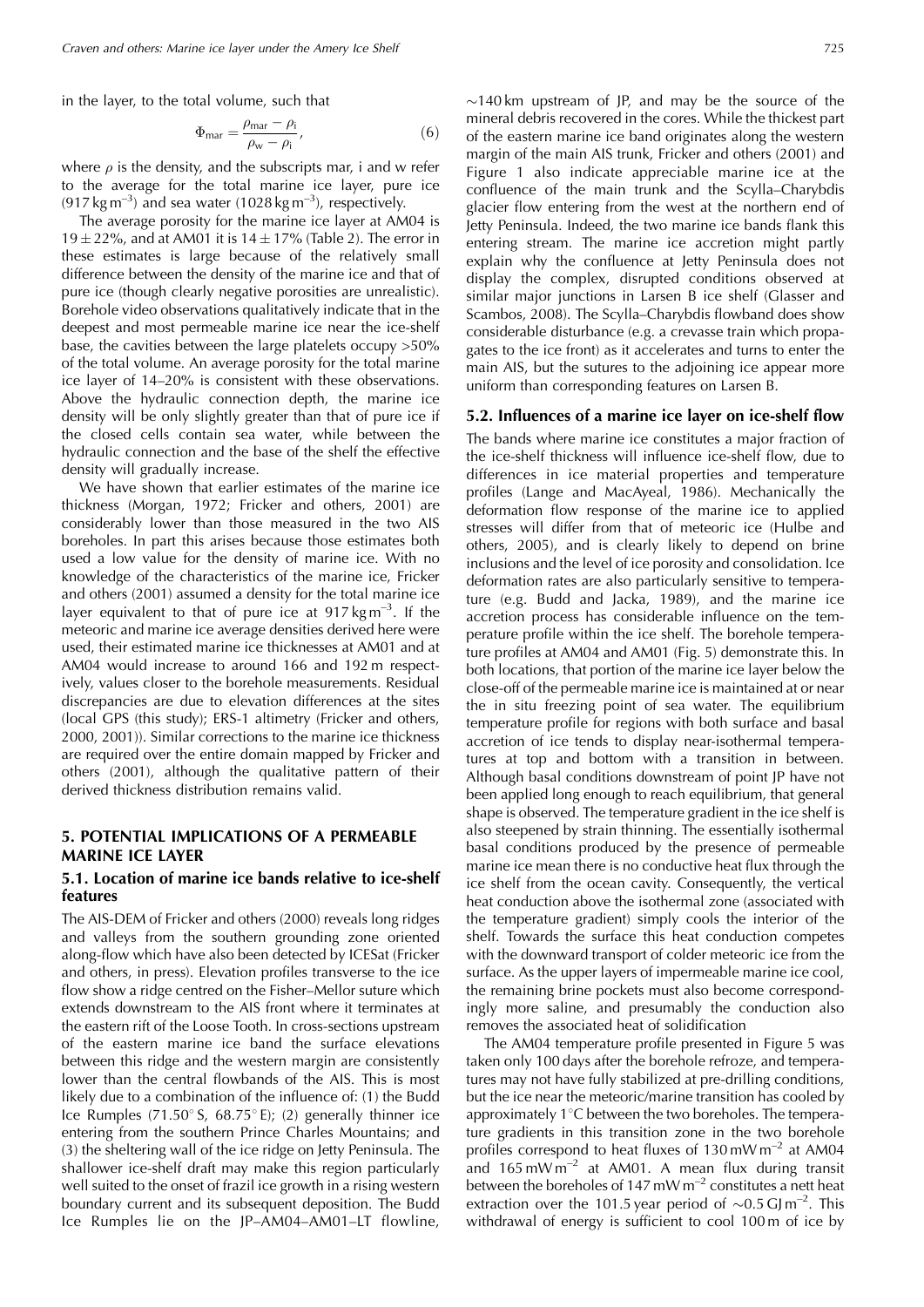in the layer, to the total volume, such that

$$
\Phi_{\text{mar}} = \frac{\rho_{\text{mar}} - \rho_i}{\rho_w - \rho_i},\tag{6}
$$

where  $\rho$  is the density, and the subscripts mar, i and w refer to the average for the total marine ice layer, pure ice (917 kg m<sup>-3</sup>) and sea water (1028 kg m<sup>-3</sup>), respectively.

The average porosity for the marine ice layer at AM04 is  $19\pm22\%$ , and at AM01 it is 14  $\pm$  17% (Table 2). The error in these estimates is large because of the relatively small difference between the density of the marine ice and that of pure ice (though clearly negative porosities are unrealistic). Borehole video observations qualitatively indicate that in the deepest and most permeable marine ice near the ice-shelf base, the cavities between the large platelets occupy >50% of the total volume. An average porosity for the total marine ice layer of 14–20% is consistent with these observations. Above the hydraulic connection depth, the marine ice density will be only slightly greater than that of pure ice if the closed cells contain sea water, while between the hydraulic connection and the base of the shelf the effective density will gradually increase.

We have shown that earlier estimates of the marine ice thickness (Morgan, 1972; Fricker and others, 2001) are considerably lower than those measured in the two AIS boreholes. In part this arises because those estimates both used a low value for the density of marine ice. With no knowledge of the characteristics of the marine ice, Fricker and others (2001) assumed a density for the total marine ice layer equivalent to that of pure ice at  $917 \text{ kg m}^{-3}$ . If the meteoric and marine ice average densities derived here were used, their estimated marine ice thicknesses at AM01 and at AM04 would increase to around 166 and 192 m respectively, values closer to the borehole measurements. Residual discrepancies are due to elevation differences at the sites (local GPS (this study); ERS-1 altimetry (Fricker and others, 2000, 2001)). Similar corrections to the marine ice thickness are required over the entire domain mapped by Fricker and others (2001), although the qualitative pattern of their derived thickness distribution remains valid.

# **5. POTENTIAL IMPLICATIONS OF A PERMEABLE MARINE ICE LAYER**

## **5.1. Location of marine ice bands relative to ice-shelf features**

The AIS-DEM of Fricker and others (2000) reveals long ridges and valleys from the southern grounding zone oriented along-flow which have also been detected by ICESat (Fricker and others, in press). Elevation profiles transverse to the ice flow show a ridge centred on the Fisher–Mellor suture which extends downstream to the AIS front where it terminates at the eastern rift of the Loose Tooth. In cross-sections upstream of the eastern marine ice band the surface elevations between this ridge and the western margin are consistently lower than the central flowbands of the AIS. This is most likely due to a combination of the influence of: (1) the Budd Ice Rumples (71.50 $\degree$ S, 68.75 $\degree$ E); (2) generally thinner ice entering from the southern Prince Charles Mountains; and (3) the sheltering wall of the ice ridge on Jetty Peninsula. The shallower ice-shelf draft may make this region particularly well suited to the onset of frazil ice growth in a rising western boundary current and its subsequent deposition. The Budd Ice Rumples lie on the JP–AM04–AM01–LT flowline,

 $\sim$ 140 km upstream of JP, and may be the source of the mineral debris recovered in the cores. While the thickest part of the eastern marine ice band originates along the western margin of the main AIS trunk, Fricker and others (2001) and Figure 1 also indicate appreciable marine ice at the confluence of the main trunk and the Scylla–Charybdis glacier flow entering from the west at the northern end of Jetty Peninsula. Indeed, the two marine ice bands flank this entering stream. The marine ice accretion might partly explain why the confluence at Jetty Peninsula does not display the complex, disrupted conditions observed at similar major junctions in Larsen B ice shelf (Glasser and Scambos, 2008). The Scylla–Charybdis flowband does show considerable disturbance (e.g. a crevasse train which propagates to the ice front) as it accelerates and turns to enter the main AIS, but the sutures to the adjoining ice appear more uniform than corresponding features on Larsen B.

#### **5.2. Influences of a marine ice layer on ice-shelf flow**

The bands where marine ice constitutes a major fraction of the ice-shelf thickness will influence ice-shelf flow, due to differences in ice material properties and temperature profiles (Lange and MacAyeal, 1986). Mechanically the deformation flow response of the marine ice to applied stresses will differ from that of meteoric ice (Hulbe and others, 2005), and is clearly likely to depend on brine inclusions and the level of ice porosity and consolidation. Ice deformation rates are also particularly sensitive to temperature (e.g. Budd and Jacka, 1989), and the marine ice accretion process has considerable influence on the temperature profile within the ice shelf. The borehole temperature profiles at AM04 and AM01 (Fig. 5) demonstrate this. In both locations, that portion of the marine ice layer below the close-off of the permeable marine ice is maintained at or near the in situ freezing point of sea water. The equilibrium temperature profile for regions with both surface and basal accretion of ice tends to display near-isothermal temperatures at top and bottom with a transition in between. Although basal conditions downstream of point JP have not been applied long enough to reach equilibrium, that general shape is observed. The temperature gradient in the ice shelf is also steepened by strain thinning. The essentially isothermal basal conditions produced by the presence of permeable marine ice mean there is no conductive heat flux through the ice shelf from the ocean cavity. Consequently, the vertical heat conduction above the isothermal zone (associated with the temperature gradient) simply cools the interior of the shelf. Towards the surface this heat conduction competes with the downward transport of colder meteoric ice from the surface. As the upper layers of impermeable marine ice cool, the remaining brine pockets must also become correspondingly more saline, and presumably the conduction also removes the associated heat of solidification

The AM04 temperature profile presented in Figure 5 was taken only 100 days after the borehole refroze, and temperatures may not have fully stabilized at pre-drilling conditions, but the ice near the meteoric/marine transition has cooled by approximately  $1^{\circ}$ C between the two boreholes. The temperature gradients in this transition zone in the two borehole profiles correspond to heat fluxes of 130 mW  $m^{-2}$  at AM04 and 165 mW m<sup>-2</sup> at AM01. A mean flux during transit between the boreholes of 147 mW  $m^{-2}$  constitutes a nett heat extraction over the 101.5 year period of  $\sim 0.5$  GJ m<sup>-2</sup>. This withdrawal of energy is sufficient to cool 100 m of ice by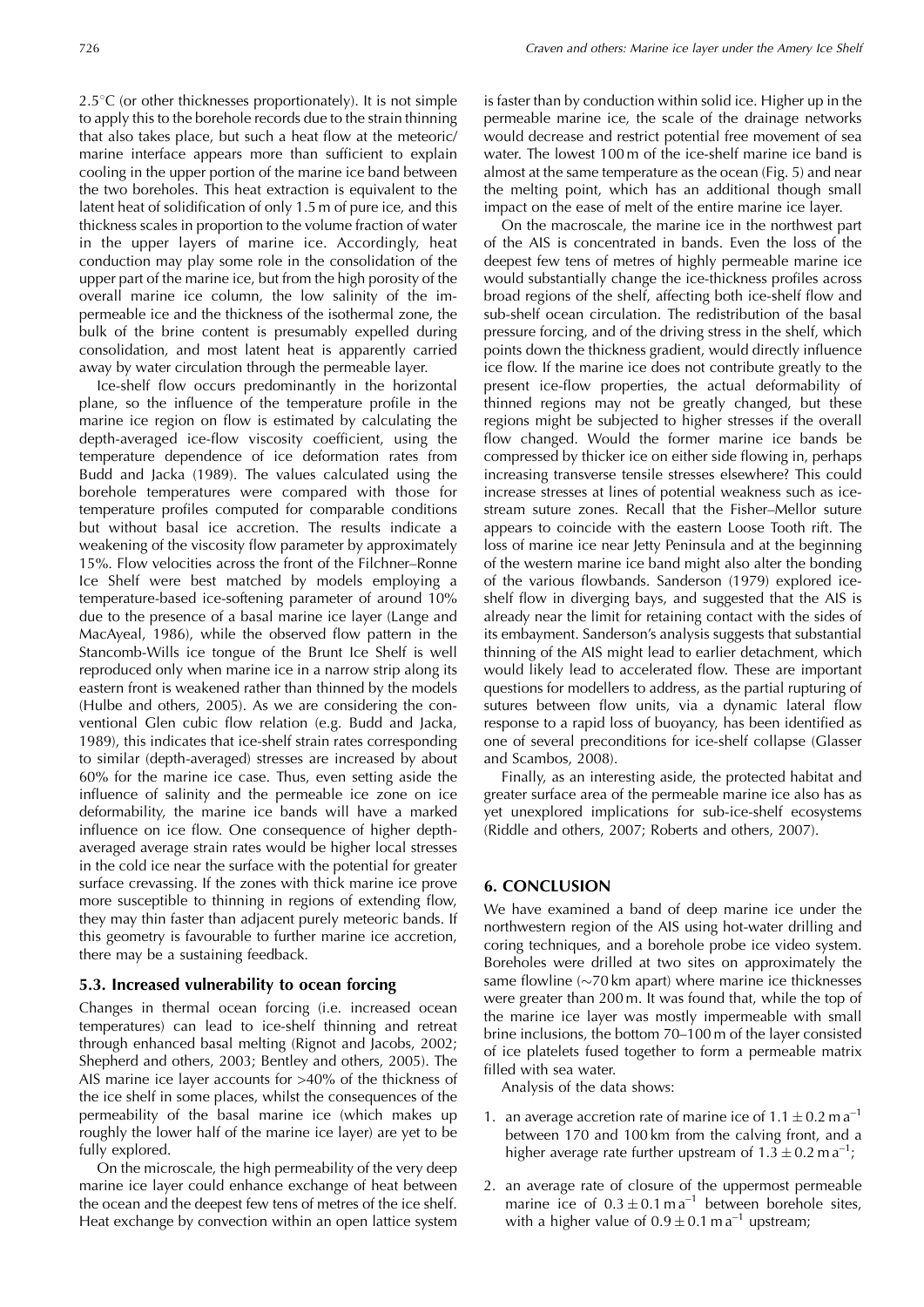$2.5^{\circ}$ C (or other thicknesses proportionately). It is not simple to apply this to the borehole records due to the strain thinning that also takes place, but such a heat flow at the meteoric/ marine interface appears more than sufficient to explain cooling in the upper portion of the marine ice band between the two boreholes. This heat extraction is equivalent to the latent heat of solidification of only 1.5 m of pure ice, and this thickness scales in proportion to the volume fraction of water in the upper layers of marine ice. Accordingly, heat conduction may play some role in the consolidation of the upper part of the marine ice, but from the high porosity of the overall marine ice column, the low salinity of the impermeable ice and the thickness of the isothermal zone, the bulk of the brine content is presumably expelled during consolidation, and most latent heat is apparently carried away by water circulation through the permeable layer.

Ice-shelf flow occurs predominantly in the horizontal plane, so the influence of the temperature profile in the marine ice region on flow is estimated by calculating the depth-averaged ice-flow viscosity coefficient, using the temperature dependence of ice deformation rates from Budd and Jacka (1989). The values calculated using the borehole temperatures were compared with those for temperature profiles computed for comparable conditions but without basal ice accretion. The results indicate a weakening of the viscosity flow parameter by approximately 15%. Flow velocities across the front of the Filchner–Ronne Ice Shelf were best matched by models employing a temperature-based ice-softening parameter of around 10% due to the presence of a basal marine ice layer (Lange and MacAyeal, 1986), while the observed flow pattern in the Stancomb-Wills ice tongue of the Brunt Ice Shelf is well reproduced only when marine ice in a narrow strip along its eastern front is weakened rather than thinned by the models (Hulbe and others, 2005). As we are considering the conventional Glen cubic flow relation (e.g. Budd and Jacka, 1989), this indicates that ice-shelf strain rates corresponding to similar (depth-averaged) stresses are increased by about 60% for the marine ice case. Thus, even setting aside the influence of salinity and the permeable ice zone on ice deformability, the marine ice bands will have a marked influence on ice flow. One consequence of higher depthaveraged average strain rates would be higher local stresses in the cold ice near the surface with the potential for greater surface crevassing. If the zones with thick marine ice prove more susceptible to thinning in regions of extending flow, they may thin faster than adjacent purely meteoric bands. If this geometry is favourable to further marine ice accretion, there may be a sustaining feedback.

### **5.3. Increased vulnerability to ocean forcing**

Changes in thermal ocean forcing (i.e. increased ocean temperatures) can lead to ice-shelf thinning and retreat through enhanced basal melting (Rignot and Jacobs, 2002; Shepherd and others, 2003; Bentley and others, 2005). The AIS marine ice layer accounts for >40% of the thickness of the ice shelf in some places, whilst the consequences of the permeability of the basal marine ice (which makes up roughly the lower half of the marine ice layer) are yet to be fully explored.

On the microscale, the high permeability of the very deep marine ice layer could enhance exchange of heat between the ocean and the deepest few tens of metres of the ice shelf. Heat exchange by convection within an open lattice system

is faster than by conduction within solid ice. Higher up in the permeable marine ice, the scale of the drainage networks would decrease and restrict potential free movement of sea water. The lowest 100 m of the ice-shelf marine ice band is almost at the same temperature as the ocean (Fig. 5) and near the melting point, which has an additional though small impact on the ease of melt of the entire marine ice layer.

On the macroscale, the marine ice in the northwest part of the AIS is concentrated in bands. Even the loss of the deepest few tens of metres of highly permeable marine ice would substantially change the ice-thickness profiles across broad regions of the shelf, affecting both ice-shelf flow and sub-shelf ocean circulation. The redistribution of the basal pressure forcing, and of the driving stress in the shelf, which points down the thickness gradient, would directly influence ice flow. If the marine ice does not contribute greatly to the present ice-flow properties, the actual deformability of thinned regions may not be greatly changed, but these regions might be subjected to higher stresses if the overall flow changed. Would the former marine ice bands be compressed by thicker ice on either side flowing in, perhaps increasing transverse tensile stresses elsewhere? This could increase stresses at lines of potential weakness such as icestream suture zones. Recall that the Fisher–Mellor suture appears to coincide with the eastern Loose Tooth rift. The loss of marine ice near Jetty Peninsula and at the beginning of the western marine ice band might also alter the bonding of the various flowbands. Sanderson (1979) explored iceshelf flow in diverging bays, and suggested that the AIS is already near the limit for retaining contact with the sides of its embayment. Sanderson's analysis suggests that substantial thinning of the AIS might lead to earlier detachment, which would likely lead to accelerated flow. These are important questions for modellers to address, as the partial rupturing of sutures between flow units, via a dynamic lateral flow response to a rapid loss of buoyancy, has been identified as one of several preconditions for ice-shelf collapse (Glasser and Scambos, 2008).

Finally, as an interesting aside, the protected habitat and greater surface area of the permeable marine ice also has as yet unexplored implications for sub-ice-shelf ecosystems (Riddle and others, 2007; Roberts and others, 2007).

#### **6. CONCLUSION**

We have examined a band of deep marine ice under the northwestern region of the AIS using hot-water drilling and coring techniques, and a borehole probe ice video system. Boreholes were drilled at two sites on approximately the same flowline  $(\sim 70 \text{ km}$  apart) where marine ice thicknesses were greater than 200 m. It was found that, while the top of the marine ice layer was mostly impermeable with small brine inclusions, the bottom 70–100 m of the layer consisted of ice platelets fused together to form a permeable matrix filled with sea water.

Analysis of the data shows:

- 1. an average accretion rate of marine ice of  $1.1 \pm 0.2$  m a<sup>-1</sup> between 170 and 100 km from the calving front, and a higher average rate further upstream of  $1.3 \pm 0.2$  ma<sup>-1</sup>;
- 2. an average rate of closure of the uppermost permeable marine ice of  $0.3 \pm 0.1$  m a<sup>-1</sup> between borehole sites, with a higher value of  $0.9 \pm 0.1$  m a<sup>-1</sup> upstream;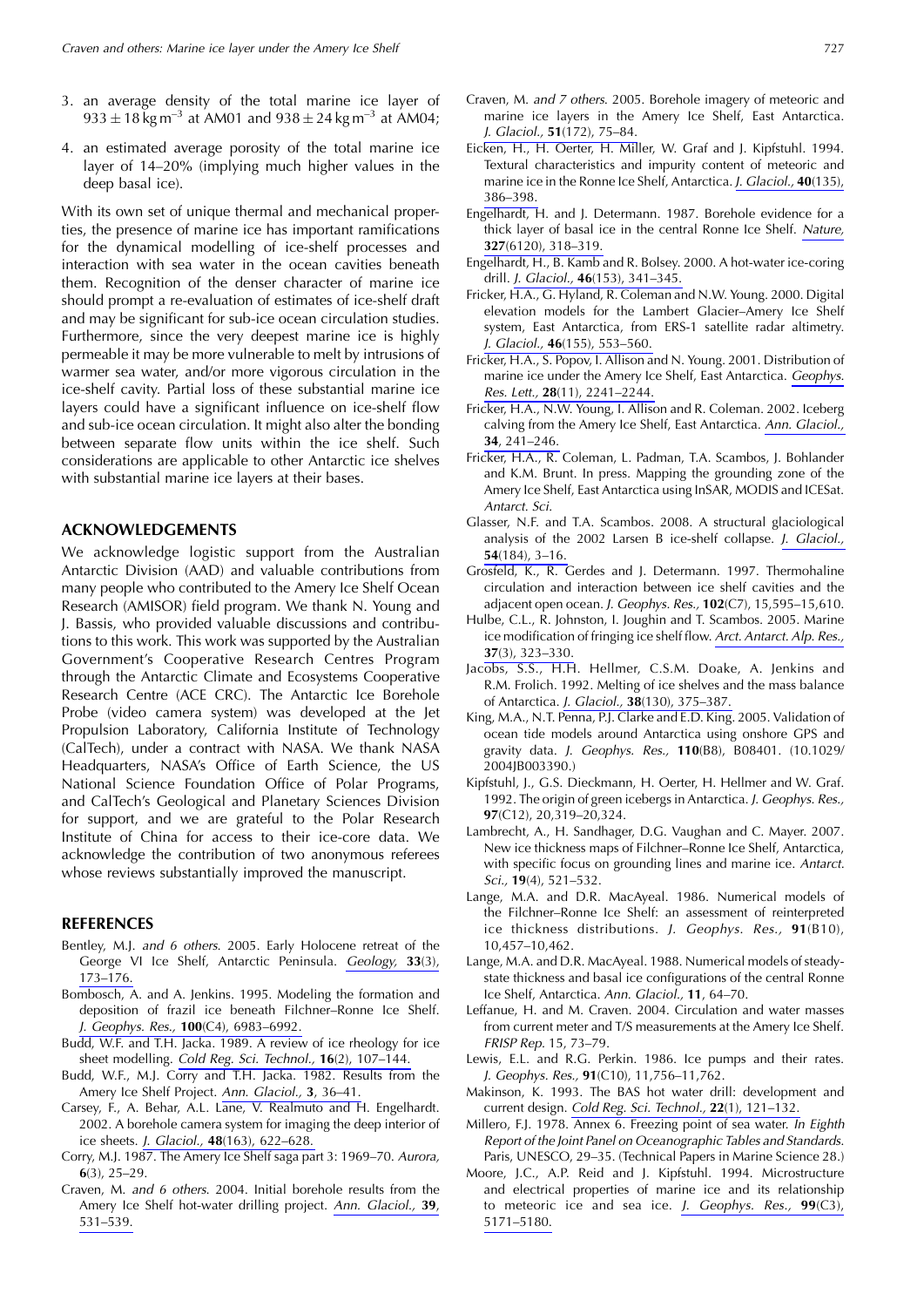- 3. an average density of the total marine ice layer of  $933 \pm 18$  kg m<sup>-3</sup> at AM01 and  $938 \pm 24$  kg m<sup>-3</sup> at AM04;
- 4. an estimated average porosity of the total marine ice layer of 14–20% (implying much higher values in the deep basal ice).

With its own set of unique thermal and mechanical properties, the presence of marine ice has important ramifications for the dynamical modelling of ice-shelf processes and interaction with sea water in the ocean cavities beneath them. Recognition of the denser character of marine ice should prompt a re-evaluation of estimates of ice-shelf draft and may be significant for sub-ice ocean circulation studies. Furthermore, since the very deepest marine ice is highly permeable it may be more vulnerable to melt by intrusions of warmer sea water, and/or more vigorous circulation in the ice-shelf cavity. Partial loss of these substantial marine ice layers could have a significant influence on ice-shelf flow and sub-ice ocean circulation. It might also alter the bonding between separate flow units within the ice shelf. Such considerations are applicable to other Antarctic ice shelves with substantial marine ice layers at their bases.

# **ACKNOWLEDGEMENTS**

We acknowledge logistic support from the Australian Antarctic Division (AAD) and valuable contributions from many people who contributed to the Amery Ice Shelf Ocean Research (AMISOR) field program. We thank N. Young and J. Bassis, who provided valuable discussions and contributions to this work. This work was supported by the Australian Government's Cooperative Research Centres Program through the Antarctic Climate and Ecosystems Cooperative Research Centre (ACE CRC). The Antarctic Ice Borehole Probe (video camera system) was developed at the Jet Propulsion Laboratory, California Institute of Technology (CalTech), under a contract with NASA. We thank NASA Headquarters, NASA's Office of Earth Science, the US National Science Foundation Office of Polar Programs, and CalTech's Geological and Planetary Sciences Division for support, and we are grateful to the Polar Research Institute of China for access to their ice-core data. We acknowledge the contribution of two anonymous referees whose reviews substantially improved the manuscript.

### **REFERENCES**

- Bentley, M.J. and 6 others. 2005. Early Holocene retreat of the George VI Ice Shelf, Antarctic Peninsula. [Geology,](http://www.ingentaconnect.com/content/external-references?article=0091-7613()33:3L.173[aid=8936359]) **33**(3), [173–176.](http://www.ingentaconnect.com/content/external-references?article=0091-7613()33:3L.173[aid=8936359])
- Bombosch, A. and A. Jenkins. 1995. Modeling the formation and deposition of frazil ice beneath Filchner–Ronne Ice Shelf. J. Geophys. Res., **100**[\(C4\), 6983–6992.](http://www.ingentaconnect.com/content/external-references?article=0148-0227()100L.6983[aid=7153514])
- Budd, W.F. and T.H. Jacka. 1989. A review of ice rheology for ice sheet modelling. [Cold Reg. Sci. Technol.,](http://www.ingentaconnect.com/content/external-references?article=0165-232x()16:2L.107[aid=3514507]) **16**(2), 107–144.
- Budd, W.F., M.J. Corry and T.H. Jacka. 1982. Results from the Amery Ice Shelf Project. [Ann. Glaciol.,](http://www.ingentaconnect.com/content/external-references?article=0260-3055()3L.36[aid=656317]) **3**, 36–41.
- Carsey, F., A. Behar, A.L. Lane, V. Realmuto and H. Engelhardt. 2002. A borehole camera system for imaging the deep interior of ice sheets. J. Glaciol., **48**[\(163\), 622–628.](http://www.ingentaconnect.com/content/external-references?article=0022-1430()48:163L.622[aid=5666122])
- Corry, M.J. 1987. The Amery Ice Shelf saga part 3: 1969–70. Aurora, **6**(3), 25–29.
- Craven, M. and 6 others. 2004. Initial borehole results from the Amery Ice Shelf hot-water drilling project. [Ann. Glaciol.,](http://www.ingentaconnect.com/content/external-references?article=0260-3055()39L.531[aid=7089741]) **39**, [531–539.](http://www.ingentaconnect.com/content/external-references?article=0260-3055()39L.531[aid=7089741])
- Craven, M. and 7 others. 2005. Borehole imagery of meteoric and marine ice layers in the Amery Ice Shelf, East Antarctica. J. Glaciol., **51**[\(172\), 75–84.](http://www.ingentaconnect.com/content/external-references?article=0022-1430()51:172L.75[aid=8591822])
- Eicken, H., H. Oerter, H. Miller, W. Graf and J. Kipfstuhl. 1994. Textural characteristics and impurity content of meteoric and marine ice in the Ronne Ice Shelf, Antarctica. [J. Glaciol.,](http://www.ingentaconnect.com/content/external-references?article=0022-1430()40:135L.386[aid=3514454]) **40**(135), [386–398.](http://www.ingentaconnect.com/content/external-references?article=0022-1430()40:135L.386[aid=3514454])
- Engelhardt, H. and J. Determann. 1987. Borehole evidence for a thick layer of basal ice in the central Ronne Ice Shelf. [Nature,](http://www.ingentaconnect.com/content/external-references?article=0028-0836()327:6120L.318[aid=6267812]) **327**[\(6120\), 318–319.](http://www.ingentaconnect.com/content/external-references?article=0028-0836()327:6120L.318[aid=6267812])
- Engelhardt, H., B. Kamb and R. Bolsey. 2000. A hot-water ice-coring drill. J. Glaciol., **46**[\(153\), 341–345.](http://www.ingentaconnect.com/content/external-references?article=0022-1430()46:153L.341[aid=5666123])
- Fricker, H.A., G. Hyland, R. Coleman and N.W. Young. 2000. Digital elevation models for the Lambert Glacier–Amery Ice Shelf system, East Antarctica, from ERS-1 satellite radar altimetry. J. Glaciol., **46**[\(155\), 553–560.](http://www.ingentaconnect.com/content/external-references?article=0022-1430()46:155L.553[aid=3514534])
- Fricker, H.A., S. Popov, I. Allison and N. Young. 2001. Distribution of marine ice under the Amery Ice Shelf, East Antarctica. [Geophys.](http://www.ingentaconnect.com/content/external-references?article=0094-8276()28:11L.2241[aid=3514561]) Res. Lett., **28**[\(11\), 2241–2244.](http://www.ingentaconnect.com/content/external-references?article=0094-8276()28:11L.2241[aid=3514561])
- Fricker, H.A., N.W. Young, I. Allison and R. Coleman. 2002. Iceberg calving from the Amery Ice Shelf, East Antarctica. [Ann. Glaciol.,](http://www.ingentaconnect.com/content/external-references?article=0260-3055()34L.241[aid=6473269]) **34**[, 241–246.](http://www.ingentaconnect.com/content/external-references?article=0260-3055()34L.241[aid=6473269])
- Fricker, H.A., R. Coleman, L. Padman, T.A. Scambos, J. Bohlander and K.M. Brunt. In press. Mapping the grounding zone of the Amery Ice Shelf, East Antarctica using InSAR, MODIS and ICESat. Antarct. Sci.
- Glasser, N.F. and T.A. Scambos. 2008. A structural glaciological analysis of the 2002 Larsen B ice-shelf collapse. [J. Glaciol.,](http://www.ingentaconnect.com/content/external-references?article=0022-1430()54:184L.3[aid=8860748]) **54**[\(184\), 3–16.](http://www.ingentaconnect.com/content/external-references?article=0022-1430()54:184L.3[aid=8860748])
- Grosfeld, K., R. Gerdes and J. Determann. 1997. Thermohaline circulation and interaction between ice shelf cavities and the adjacent open ocean. J. Geophys. Res., **102**(C7), 15,595–15,610.
- Hulbe, C.L., R. Johnston, I. Joughin and T. Scambos. 2005. Marine ice modification of fringing ice shelf flow. [Arct. Antarct. Alp. Res.,](http://www.ingentaconnect.com/content/external-references?article=1523-0430()37:3L.323[aid=8820452]) **37**[\(3\), 323–330.](http://www.ingentaconnect.com/content/external-references?article=1523-0430()37:3L.323[aid=8820452])
- Jacobs, S.S., H.H. Hellmer, C.S.M. Doake, A. Jenkins and R.M. Frolich. 1992. Melting of ice shelves and the mass balance of Antarctica. J. Glaciol., **38**[\(130\), 375–387.](http://www.ingentaconnect.com/content/external-references?article=0022-1430()38:130L.375[aid=3514483])
- King, M.A., N.T. Penna, P.J. Clarke and E.D. King. 2005. Validation of ocean tide models around Antarctica using onshore GPS and gravity data. J. Geophys. Res., **110**(B8), B08401. (10.1029/ 2004JB003390.)
- Kipfstuhl, J., G.S. Dieckmann, H. Oerter, H. Hellmer and W. Graf. 1992. The origin of green icebergs in Antarctica. J. Geophys. Res., **97**(C12), 20,319–20,324.
- Lambrecht, A., H. Sandhager, D.G. Vaughan and C. Mayer. 2007. New ice thickness maps of Filchner–Ronne Ice Shelf, Antarctica, with specific focus on grounding lines and marine ice. Antarct. Sci., **19**(4), 521–532.
- Lange, M.A. and D.R. MacAyeal. 1986. Numerical models of the Filchner–Ronne Ice Shelf: an assessment of reinterpreted ice thickness distributions. J. Geophys. Res., **91**(B10), 10,457–10,462.
- Lange, M.A. and D.R. MacAyeal. 1988. Numerical models of steadystate thickness and basal ice configurations of the central Ronne Ice Shelf, Antarctica. Ann. Glaciol., **11**, 64–70.
- Leffanue, H. and M. Craven. 2004. Circulation and water masses from current meter and T/S measurements at the Amery Ice Shelf. FRISP Rep. 15, 73–79.
- Lewis, E.L. and R.G. Perkin. 1986. Ice pumps and their rates. J. Geophys. Res., **91**(C10), 11,756–11,762.
- Makinson, K. 1993. The BAS hot water drill: development and current design. [Cold Reg. Sci. Technol.,](http://www.ingentaconnect.com/content/external-references?article=0165-232X()22:1L.121[aid=7089736]) **22**(1), 121–132.
- Millero, F.J. 1978. Annex 6. Freezing point of sea water. In Eighth Report of the Joint Panel on Oceanographic Tables and Standards. Paris, UNESCO, 29–35. (Technical Papers in Marine Science 28.)
- Moore, J.C., A.P. Reid and J. Kipfstuhl. 1994. Microstructure and electrical properties of marine ice and its relationship to meteoric ice and sea ice. [J. Geophys. Res.,](http://www.ingentaconnect.com/content/external-references?article=0148-0227()99L.5171[aid=7089743]) **99**(C3), [5171–5180.](http://www.ingentaconnect.com/content/external-references?article=0148-0227()99L.5171[aid=7089743])